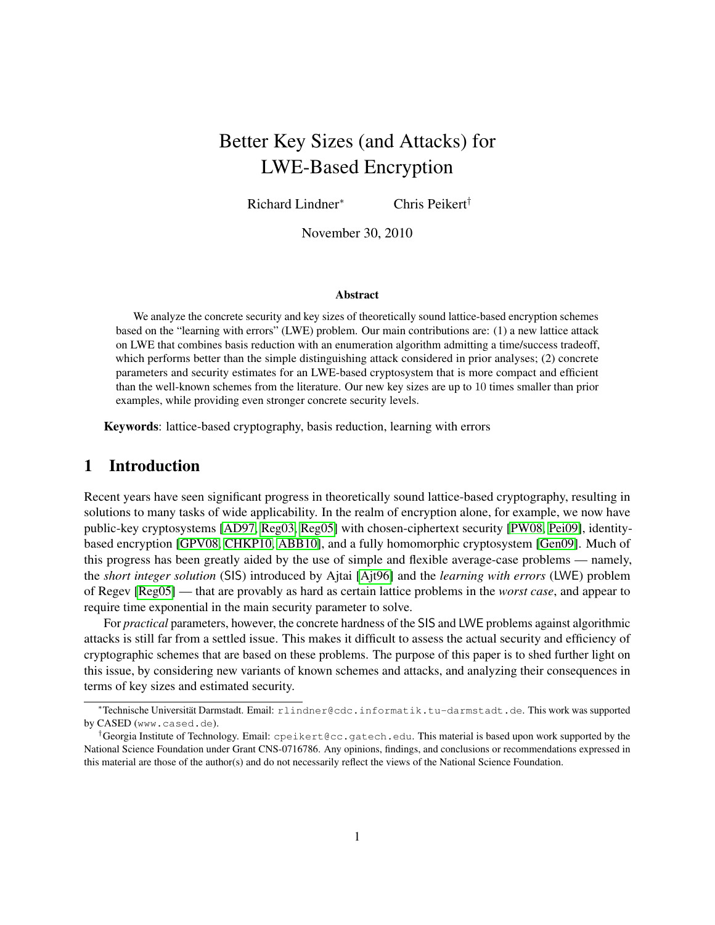# <span id="page-0-0"></span>Better Key Sizes (and Attacks) for LWE-Based Encryption

Richard Lindner<sup>∗</sup> Chris Peikert†

November 30, 2010

#### **Abstract**

We analyze the concrete security and key sizes of theoretically sound lattice-based encryption schemes based on the "learning with errors" (LWE) problem. Our main contributions are: (1) a new lattice attack on LWE that combines basis reduction with an enumeration algorithm admitting a time/success tradeoff, which performs better than the simple distinguishing attack considered in prior analyses; (2) concrete parameters and security estimates for an LWE-based cryptosystem that is more compact and efficient than the well-known schemes from the literature. Our new key sizes are up to 10 times smaller than prior examples, while providing even stronger concrete security levels.

Keywords: lattice-based cryptography, basis reduction, learning with errors

# 1 Introduction

Recent years have seen significant progress in theoretically sound lattice-based cryptography, resulting in solutions to many tasks of wide applicability. In the realm of encryption alone, for example, we now have public-key cryptosystems [\[AD97,](#page-18-0) [Reg03,](#page-19-0) [Reg05\]](#page-19-1) with chosen-ciphertext security [\[PW08,](#page-19-2) [Pei09\]](#page-19-3), identitybased encryption [\[GPV08,](#page-19-4) [CHKP10,](#page-18-1) [ABB10\]](#page-18-2), and a fully homomorphic cryptosystem [\[Gen09\]](#page-18-3). Much of this progress has been greatly aided by the use of simple and flexible average-case problems — namely, the *short integer solution* (SIS) introduced by Ajtai [\[Ajt96\]](#page-18-4) and the *learning with errors* (LWE) problem of Regev [\[Reg05\]](#page-19-1) — that are provably as hard as certain lattice problems in the *worst case*, and appear to require time exponential in the main security parameter to solve.

For *practical* parameters, however, the concrete hardness of the SIS and LWE problems against algorithmic attacks is still far from a settled issue. This makes it difficult to assess the actual security and efficiency of cryptographic schemes that are based on these problems. The purpose of this paper is to shed further light on this issue, by considering new variants of known schemes and attacks, and analyzing their consequences in terms of key sizes and estimated security.

<sup>∗</sup>Technische Universitat Darmstadt. Email: ¨ rlindner@cdc.informatik.tu-darmstadt.de. This work was supported by CASED (www.cased.de).

<sup>†</sup>Georgia Institute of Technology. Email: cpeikert@cc.gatech.edu. This material is based upon work supported by the National Science Foundation under Grant CNS-0716786. Any opinions, findings, and conclusions or recommendations expressed in this material are those of the author(s) and do not necessarily reflect the views of the National Science Foundation.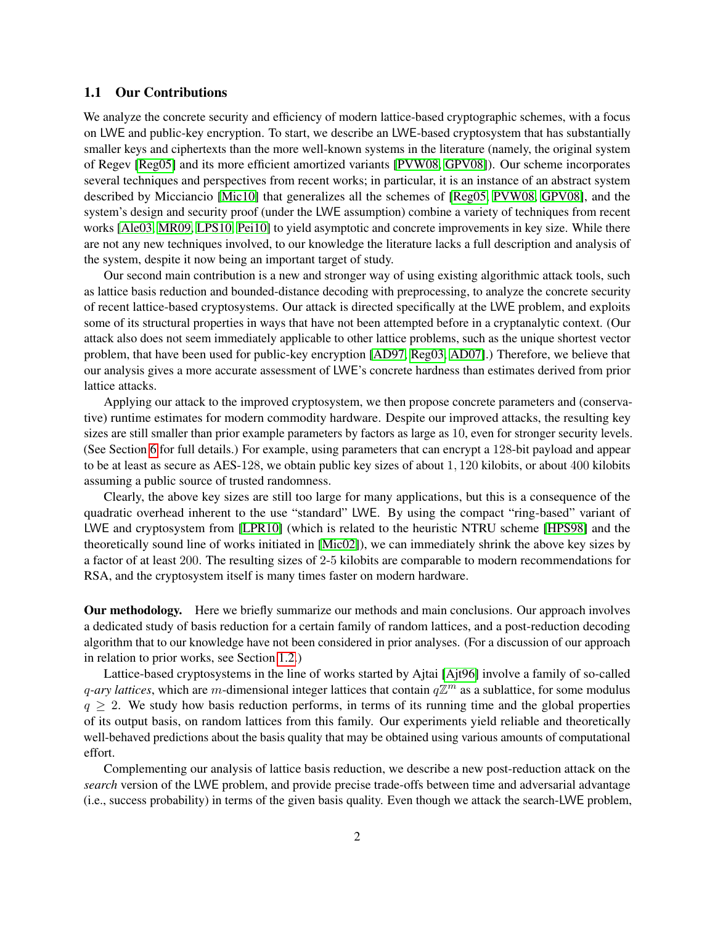### <span id="page-1-0"></span>1.1 Our Contributions

We analyze the concrete security and efficiency of modern lattice-based cryptographic schemes, with a focus on LWE and public-key encryption. To start, we describe an LWE-based cryptosystem that has substantially smaller keys and ciphertexts than the more well-known systems in the literature (namely, the original system of Regev [\[Reg05\]](#page-19-1) and its more efficient amortized variants [\[PVW08,](#page-19-5) [GPV08\]](#page-19-4)). Our scheme incorporates several techniques and perspectives from recent works; in particular, it is an instance of an abstract system described by Micciancio [\[Mic10\]](#page-19-6) that generalizes all the schemes of [\[Reg05,](#page-19-1) [PVW08,](#page-19-5) [GPV08\]](#page-19-4), and the system's design and security proof (under the LWE assumption) combine a variety of techniques from recent works [\[Ale03,](#page-18-5) [MR09,](#page-19-7) [LPS10,](#page-19-8) [Pei10\]](#page-19-9) to yield asymptotic and concrete improvements in key size. While there are not any new techniques involved, to our knowledge the literature lacks a full description and analysis of the system, despite it now being an important target of study.

Our second main contribution is a new and stronger way of using existing algorithmic attack tools, such as lattice basis reduction and bounded-distance decoding with preprocessing, to analyze the concrete security of recent lattice-based cryptosystems. Our attack is directed specifically at the LWE problem, and exploits some of its structural properties in ways that have not been attempted before in a cryptanalytic context. (Our attack also does not seem immediately applicable to other lattice problems, such as the unique shortest vector problem, that have been used for public-key encryption [\[AD97,](#page-18-0) [Reg03,](#page-19-0) [AD07\]](#page-18-6).) Therefore, we believe that our analysis gives a more accurate assessment of LWE's concrete hardness than estimates derived from prior lattice attacks.

Applying our attack to the improved cryptosystem, we then propose concrete parameters and (conservative) runtime estimates for modern commodity hardware. Despite our improved attacks, the resulting key sizes are still smaller than prior example parameters by factors as large as 10, even for stronger security levels. (See Section [6](#page-15-0) for full details.) For example, using parameters that can encrypt a 128-bit payload and appear to be at least as secure as AES-128, we obtain public key sizes of about 1, 120 kilobits, or about 400 kilobits assuming a public source of trusted randomness.

Clearly, the above key sizes are still too large for many applications, but this is a consequence of the quadratic overhead inherent to the use "standard" LWE. By using the compact "ring-based" variant of LWE and cryptosystem from [\[LPR10\]](#page-19-10) (which is related to the heuristic NTRU scheme [\[HPS98\]](#page-19-11) and the theoretically sound line of works initiated in [\[Mic02\]](#page-19-12)), we can immediately shrink the above key sizes by a factor of at least 200. The resulting sizes of 2-5 kilobits are comparable to modern recommendations for RSA, and the cryptosystem itself is many times faster on modern hardware.

Our methodology. Here we briefly summarize our methods and main conclusions. Our approach involves a dedicated study of basis reduction for a certain family of random lattices, and a post-reduction decoding algorithm that to our knowledge have not been considered in prior analyses. (For a discussion of our approach in relation to prior works, see Section [1.2.](#page-2-0))

Lattice-based cryptosystems in the line of works started by Ajtai [\[Ajt96\]](#page-18-4) involve a family of so-called  $q$ -ary lattices, which are m-dimensional integer lattices that contain  $q\mathbb{Z}^m$  as a sublattice, for some modulus  $q \geq 2$ . We study how basis reduction performs, in terms of its running time and the global properties of its output basis, on random lattices from this family. Our experiments yield reliable and theoretically well-behaved predictions about the basis quality that may be obtained using various amounts of computational effort.

Complementing our analysis of lattice basis reduction, we describe a new post-reduction attack on the *search* version of the LWE problem, and provide precise trade-offs between time and adversarial advantage (i.e., success probability) in terms of the given basis quality. Even though we attack the search-LWE problem,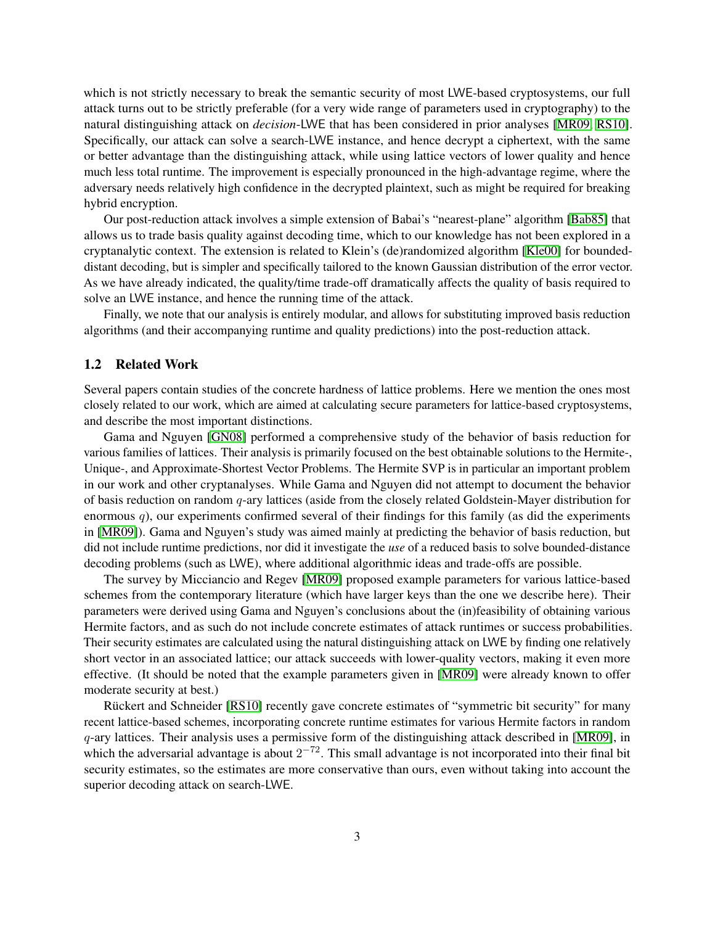<span id="page-2-1"></span>which is not strictly necessary to break the semantic security of most LWE-based cryptosystems, our full attack turns out to be strictly preferable (for a very wide range of parameters used in cryptography) to the natural distinguishing attack on *decision*-LWE that has been considered in prior analyses [\[MR09,](#page-19-7) [RS10\]](#page-20-0). Specifically, our attack can solve a search-LWE instance, and hence decrypt a ciphertext, with the same or better advantage than the distinguishing attack, while using lattice vectors of lower quality and hence much less total runtime. The improvement is especially pronounced in the high-advantage regime, where the adversary needs relatively high confidence in the decrypted plaintext, such as might be required for breaking hybrid encryption.

Our post-reduction attack involves a simple extension of Babai's "nearest-plane" algorithm [\[Bab85\]](#page-18-7) that allows us to trade basis quality against decoding time, which to our knowledge has not been explored in a cryptanalytic context. The extension is related to Klein's (de)randomized algorithm [\[Kle00\]](#page-19-13) for boundeddistant decoding, but is simpler and specifically tailored to the known Gaussian distribution of the error vector. As we have already indicated, the quality/time trade-off dramatically affects the quality of basis required to solve an LWE instance, and hence the running time of the attack.

Finally, we note that our analysis is entirely modular, and allows for substituting improved basis reduction algorithms (and their accompanying runtime and quality predictions) into the post-reduction attack.

### <span id="page-2-0"></span>1.2 Related Work

Several papers contain studies of the concrete hardness of lattice problems. Here we mention the ones most closely related to our work, which are aimed at calculating secure parameters for lattice-based cryptosystems, and describe the most important distinctions.

Gama and Nguyen [\[GN08\]](#page-18-8) performed a comprehensive study of the behavior of basis reduction for various families of lattices. Their analysis is primarily focused on the best obtainable solutions to the Hermite-, Unique-, and Approximate-Shortest Vector Problems. The Hermite SVP is in particular an important problem in our work and other cryptanalyses. While Gama and Nguyen did not attempt to document the behavior of basis reduction on random q-ary lattices (aside from the closely related Goldstein-Mayer distribution for enormous q), our experiments confirmed several of their findings for this family (as did the experiments in [\[MR09\]](#page-19-7)). Gama and Nguyen's study was aimed mainly at predicting the behavior of basis reduction, but did not include runtime predictions, nor did it investigate the *use* of a reduced basis to solve bounded-distance decoding problems (such as LWE), where additional algorithmic ideas and trade-offs are possible.

The survey by Micciancio and Regev [\[MR09\]](#page-19-7) proposed example parameters for various lattice-based schemes from the contemporary literature (which have larger keys than the one we describe here). Their parameters were derived using Gama and Nguyen's conclusions about the (in)feasibility of obtaining various Hermite factors, and as such do not include concrete estimates of attack runtimes or success probabilities. Their security estimates are calculated using the natural distinguishing attack on LWE by finding one relatively short vector in an associated lattice; our attack succeeds with lower-quality vectors, making it even more effective. (It should be noted that the example parameters given in [\[MR09\]](#page-19-7) were already known to offer moderate security at best.)

Rückert and Schneider [[RS10\]](#page-20-0) recently gave concrete estimates of "symmetric bit security" for many recent lattice-based schemes, incorporating concrete runtime estimates for various Hermite factors in random q-ary lattices. Their analysis uses a permissive form of the distinguishing attack described in [\[MR09\]](#page-19-7), in which the adversarial advantage is about  $2^{-72}$ . This small advantage is not incorporated into their final bit security estimates, so the estimates are more conservative than ours, even without taking into account the superior decoding attack on search-LWE.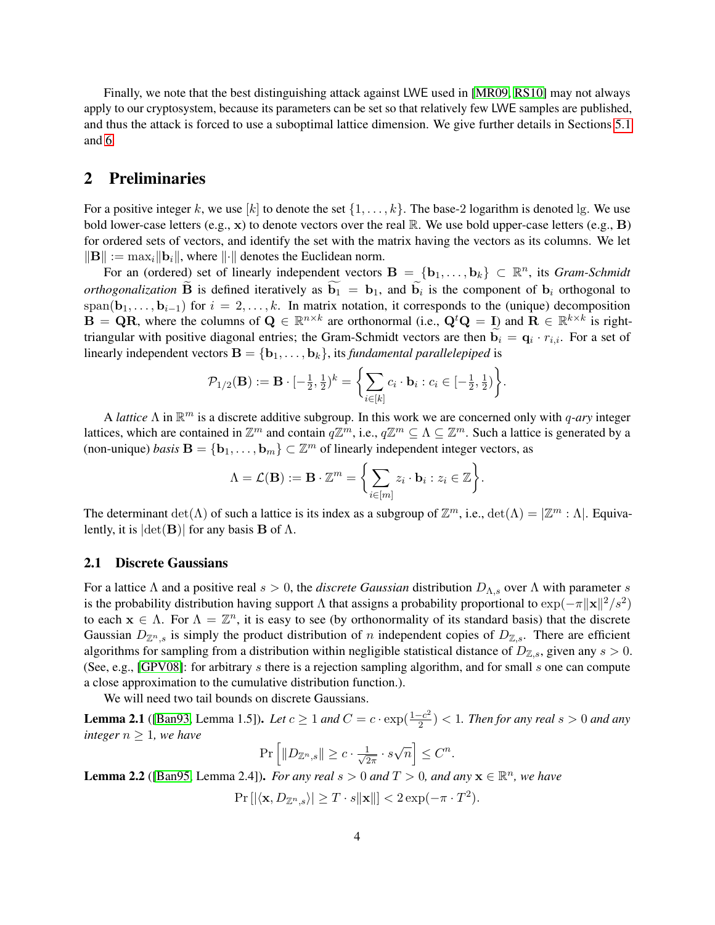<span id="page-3-2"></span>Finally, we note that the best distinguishing attack against LWE used in [\[MR09,](#page-19-7) [RS10\]](#page-20-0) may not always apply to our cryptosystem, because its parameters can be set so that relatively few LWE samples are published, and thus the attack is forced to use a suboptimal lattice dimension. We give further details in Sections [5.1](#page-12-0) and [6.](#page-15-0)

# 2 Preliminaries

For a positive integer k, we use [k] to denote the set  $\{1, \ldots, k\}$ . The base-2 logarithm is denoted lg. We use bold lower-case letters (e.g., x) to denote vectors over the real R. We use bold upper-case letters (e.g., B) for ordered sets of vectors, and identify the set with the matrix having the vectors as its columns. We let  $\|\mathbf{B}\| := \max_i \|\mathbf{b}_i\|$ , where  $\|\cdot\|$  denotes the Euclidean norm.

For an (ordered) set of linearly independent vectors  $\mathbf{B} = \{\mathbf{b}_1, \dots, \mathbf{b}_k\} \subset \mathbb{R}^n$ , its *Gram-Schmidt orthogonalization* **B** is defined iteratively as  $\mathbf{b}_1 = \mathbf{b}_1$ , and  $\mathbf{b}_i$  is the component of  $\mathbf{b}_i$  orthogonal to span( $\mathbf{b}_1, \ldots, \mathbf{b}_{i-1}$ ) for  $i = 2, \ldots, k$ . In matrix notation, it corresponds to the (unique) decomposition  $B = QR$ , where the columns of  $Q \in \mathbb{R}^{n \times k}$  are orthonormal (i.e.,  $Q^tQ = I$ ) and  $R \in \mathbb{R}^{k \times k}$  is righttriangular with positive diagonal entries; the Gram-Schmidt vectors are then  $\mathbf{b}_i = \mathbf{q}_i \cdot r_{i,i}$ . For a set of linearly independent vectors  $\mathbf{B} = \{\mathbf{b}_1, \dots, \mathbf{b}_k\}$ , its *fundamental parallelepiped* is

$$
\mathcal{P}_{1/2}(\mathbf{B}) := \mathbf{B} \cdot [-\frac{1}{2}, \frac{1}{2})^k = \left\{ \sum_{i \in [k]} c_i \cdot \mathbf{b}_i : c_i \in [-\frac{1}{2}, \frac{1}{2}) \right\}.
$$

A *lattice* Λ in R <sup>m</sup> is a discrete additive subgroup. In this work we are concerned only with q*-ary* integer lattices, which are contained in  $\mathbb{Z}^m$  and contain  $q\mathbb{Z}^m$ , i.e.,  $q\mathbb{Z}^m \subseteq \Lambda \subseteq \mathbb{Z}^m$ . Such a lattice is generated by a (non-unique) *basis*  $\mathbf{B} = \{b_1, \ldots, b_m\} \subset \mathbb{Z}^m$  of linearly independent integer vectors, as

$$
\Lambda = \mathcal{L}(\mathbf{B}) := \mathbf{B} \cdot \mathbb{Z}^m = \left\{ \sum_{i \in [m]} z_i \cdot \mathbf{b}_i : z_i \in \mathbb{Z} \right\}.
$$

The determinant  $\det(\Lambda)$  of such a lattice is its index as a subgroup of  $\mathbb{Z}^m$ , i.e.,  $\det(\Lambda) = |\mathbb{Z}^m : \Lambda|$ . Equivalently, it is  $|\text{det}(\mathbf{B})|$  for any basis **B** of  $\Lambda$ .

### 2.1 Discrete Gaussians

For a lattice  $\Lambda$  and a positive real  $s > 0$ , the *discrete Gaussian* distribution  $D_{\Lambda,s}$  over  $\Lambda$  with parameter s is the probability distribution having support  $\Lambda$  that assigns a probability proportional to  $\exp(-\pi ||\mathbf{x}||^2/s^2)$ to each  $x \in \Lambda$ . For  $\Lambda = \mathbb{Z}^n$ , it is easy to see (by orthonormality of its standard basis) that the discrete Gaussian  $D_{\mathbb{Z}^n,s}$  is simply the product distribution of n independent copies of  $D_{\mathbb{Z},s}$ . There are efficient algorithms for sampling from a distribution within negligible statistical distance of  $D_{\mathbb{Z},s}$ , given any  $s > 0$ . (See, e.g., [\[GPV08\]](#page-19-4): for arbitrary s there is a rejection sampling algorithm, and for small s one can compute a close approximation to the cumulative distribution function.).

We will need two tail bounds on discrete Gaussians.

<span id="page-3-0"></span>**Lemma 2.1** ([\[Ban93,](#page-18-9) Lemma 1.5]). *Let*  $c \ge 1$  *and*  $C = c \cdot \exp(\frac{1-c^2}{2})$  $\left(\frac{-c^2}{2}\right)$  < 1. Then for any real  $s > 0$  and any *integer*  $n \geq 1$ *, we have* 

$$
\Pr\left[\|D_{\mathbb{Z}^n,s}\| \ge c\cdot \frac{1}{\sqrt{2\pi}}\cdot s\sqrt{n}\right] \le C^n.
$$

<span id="page-3-1"></span>**Lemma 2.2** ([\[Ban95,](#page-18-10) Lemma 2.4]). *For any real*  $s > 0$  *and*  $T > 0$ *, and any*  $\mathbf{x} \in \mathbb{R}^n$ *, we have* 

$$
\Pr\left[\left|\langle \mathbf{x}, D_{\mathbb{Z}^n, s}\rangle\right| \ge T \cdot s \|\mathbf{x}\|\right] < 2\exp(-\pi \cdot T^2).
$$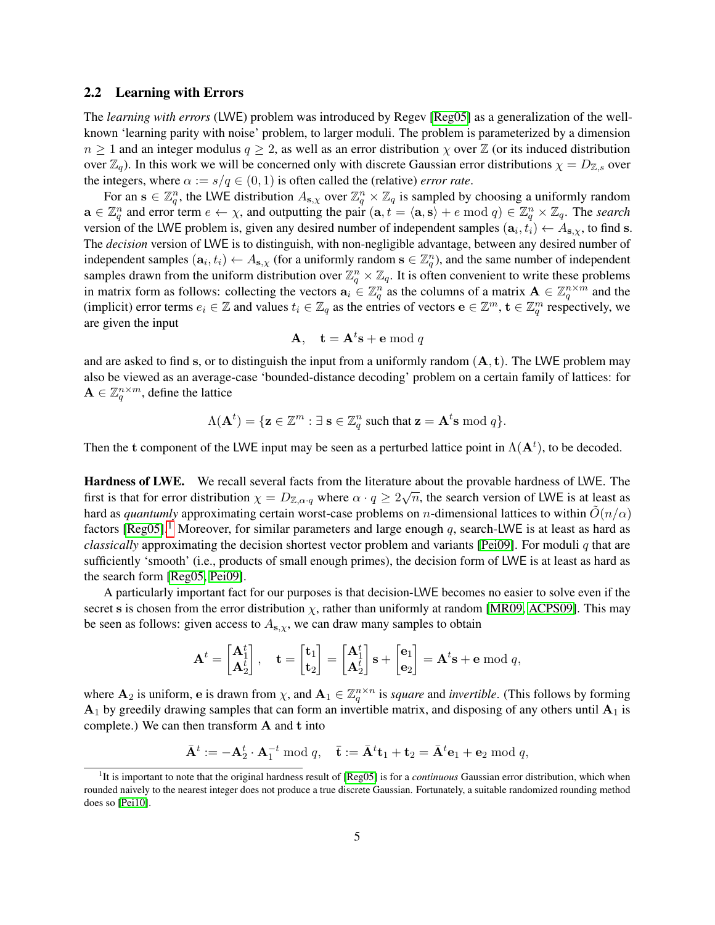### <span id="page-4-2"></span><span id="page-4-1"></span>2.2 Learning with Errors

The *learning with errors* (LWE) problem was introduced by Regev [\[Reg05\]](#page-19-1) as a generalization of the wellknown 'learning parity with noise' problem, to larger moduli. The problem is parameterized by a dimension  $n \geq 1$  and an integer modulus  $q \geq 2$ , as well as an error distribution  $\chi$  over  $\mathbb{Z}$  (or its induced distribution over  $\mathbb{Z}_q$ ). In this work we will be concerned only with discrete Gaussian error distributions  $\chi = D_{\mathbb{Z},s}$  over the integers, where  $\alpha := s/q \in (0,1)$  is often called the (relative) *error rate*.

For an  $s \in \mathbb{Z}_q^n$ , the LWE distribution  $A_{s,\chi}$  over  $\mathbb{Z}_q^n \times \mathbb{Z}_q$  is sampled by choosing a uniformly random  $\mathbf{a} \in \mathbb{Z}_q^n$  and error term  $e \leftarrow \chi$ , and outputting the pair  $(\mathbf{a}, t = \langle \mathbf{a}, \mathbf{s} \rangle + e \bmod q) \in \mathbb{Z}_q^n \times \mathbb{Z}_q$ . The *search* version of the LWE problem is, given any desired number of independent samples  $(a_i, t_i) \leftarrow A_{s, \chi}$ , to find s. The *decision* version of LWE is to distinguish, with non-negligible advantage, between any desired number of independent samples  $(a_i, t_i) \leftarrow A_{s,\chi}$  (for a uniformly random  $s \in \mathbb{Z}_q^n$ ), and the same number of independent samples drawn from the uniform distribution over  $\mathbb{Z}_q^n\times\mathbb{Z}_q$ . It is often convenient to write these problems in matrix form as follows: collecting the vectors  $a_i \in \mathbb{Z}_q^n$  as the columns of a matrix  $A \in \mathbb{Z}_q^{n \times m}$  and the (implicit) error terms  $e_i \in \mathbb{Z}$  and values  $t_i \in \mathbb{Z}_q$  as the entries of vectors  $\mathbf{e} \in \mathbb{Z}^m$ ,  $\mathbf{t} \in \mathbb{Z}_q^m$  respectively, we are given the input

$$
A, \quad t = A^t s + e \bmod q
$$

and are asked to find s, or to distinguish the input from a uniformly random  $(A, t)$ . The LWE problem may also be viewed as an average-case 'bounded-distance decoding' problem on a certain family of lattices: for  $\mathbf{A} \in \mathbb{Z}_q^{n \times m}$ , define the lattice

$$
\Lambda(\mathbf{A}^t) = \{ \mathbf{z} \in \mathbb{Z}^m : \exists \ \mathbf{s} \in \mathbb{Z}_q^n \text{ such that } \mathbf{z} = \mathbf{A}^t \mathbf{s} \bmod q \}.
$$

Then the t component of the LWE input may be seen as a perturbed lattice point in  $\Lambda(\mathbf{A}^t)$ , to be decoded.

Hardness of LWE. We recall several facts from the literature about the provable hardness of LWE. The first is that for error distribution  $\chi = D_{\mathbb{Z},\alpha \cdot q}$  where  $\alpha \cdot q \geq 2\sqrt{n}$ , the search version of LWE is at least as hard as *quantumly* approximating certain worst-case problems on *n*-dimensional lattices to within  $\tilde{O}(n/\alpha)$ factors [\[Reg05\]](#page-19-1).<sup>[1](#page-4-0)</sup> Moreover, for similar parameters and large enough q, search-LWE is at least as hard as *classically* approximating the decision shortest vector problem and variants [\[Pei09\]](#page-19-3). For moduli q that are sufficiently 'smooth' (i.e., products of small enough primes), the decision form of LWE is at least as hard as the search form [\[Reg05,](#page-19-1) [Pei09\]](#page-19-3).

A particularly important fact for our purposes is that decision-LWE becomes no easier to solve even if the secret s is chosen from the error distribution  $\chi$ , rather than uniformly at random [\[MR09,](#page-19-7) [ACPS09\]](#page-18-11). This may be seen as follows: given access to  $A_{s,x}$ , we can draw many samples to obtain

$$
\mathbf{A}^t = \begin{bmatrix} \mathbf{A}_1^t \\ \mathbf{A}_2^t \end{bmatrix}, \quad \mathbf{t} = \begin{bmatrix} \mathbf{t}_1 \\ \mathbf{t}_2 \end{bmatrix} = \begin{bmatrix} \mathbf{A}_1^t \\ \mathbf{A}_2^t \end{bmatrix} \mathbf{s} + \begin{bmatrix} \mathbf{e}_1 \\ \mathbf{e}_2 \end{bmatrix} = \mathbf{A}^t \mathbf{s} + \mathbf{e} \bmod q,
$$

where  $A_2$  is uniform, e is drawn from  $\chi$ , and  $A_1 \in \mathbb{Z}_q^{n \times n}$  is *square* and *invertible*. (This follows by forming  $A_1$  by greedily drawing samples that can form an invertible matrix, and disposing of any others until  $A_1$  is complete.) We can then transform A and t into

$$
\bar{\mathbf{A}}^t := -\mathbf{A}_2^t \cdot \mathbf{A}_1^{-t} \bmod q, \quad \bar{\mathbf{t}} := \bar{\mathbf{A}}^t \mathbf{t}_1 + \mathbf{t}_2 = \bar{\mathbf{A}}^t \mathbf{e}_1 + \mathbf{e}_2 \bmod q,
$$

<span id="page-4-0"></span><sup>&</sup>lt;sup>1</sup>It is important to note that the original hardness result of [\[Reg05\]](#page-19-1) is for a *continuous* Gaussian error distribution, which when rounded naively to the nearest integer does not produce a true discrete Gaussian. Fortunately, a suitable randomized rounding method does so [\[Pei10\]](#page-19-9).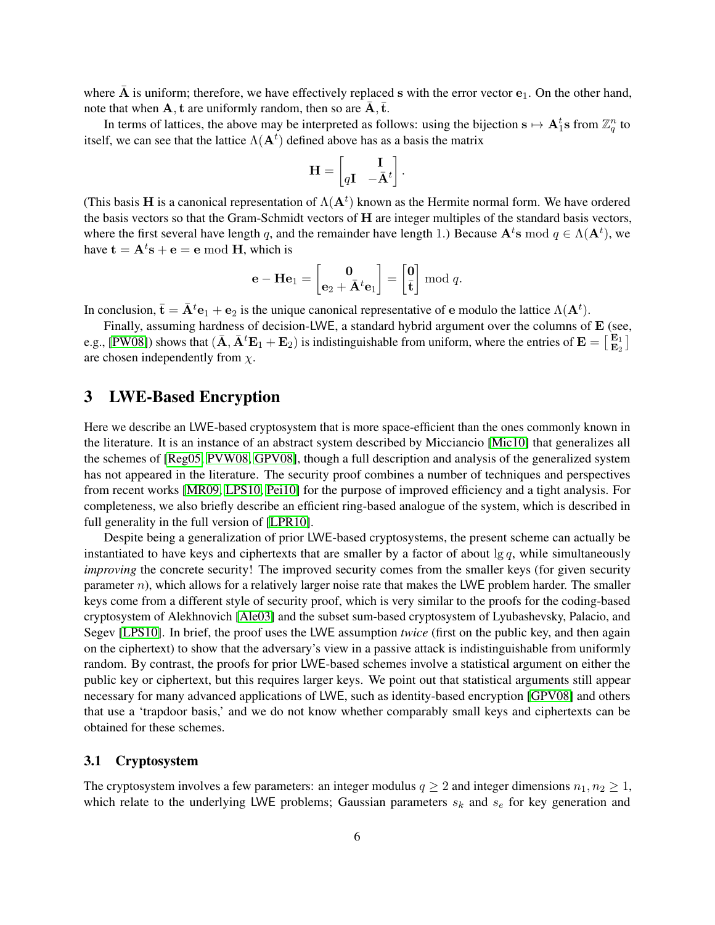<span id="page-5-2"></span>where  $A$  is uniform; therefore, we have effectively replaced s with the error vector  $e_1$ . On the other hand, note that when  $\mathbf{A}$ ,  $\mathbf{t}$  are uniformly random, then so are  $\mathbf{A}$ ,  $\mathbf{\bar{t}}$ .

In terms of lattices, the above may be interpreted as follows: using the bijection  $s \mapsto A_1^t s$  from  $\mathbb{Z}_q^n$  to itself, we can see that the lattice  $\Lambda(\mathbf{A}^t)$  defined above has as a basis the matrix

$$
\mathbf{H} = \begin{bmatrix} \mathbf{I} \\ q\mathbf{I} & -\bar{\mathbf{A}}^t \end{bmatrix}.
$$

(This basis H is a canonical representation of  $\Lambda(\mathbf{A}^t)$  known as the Hermite normal form. We have ordered the basis vectors so that the Gram-Schmidt vectors of H are integer multiples of the standard basis vectors, where the first several have length q, and the remainder have length 1.) Because  $\mathbf{A}^t$ s mod  $q \in \Lambda(\mathbf{A}^t)$ , we have  $\mathbf{t} = \mathbf{A}^t \mathbf{s} + \mathbf{e} = \mathbf{e} \bmod \mathbf{H}$ , which is

$$
\mathbf{e} - \mathbf{H} \mathbf{e}_1 = \begin{bmatrix} \mathbf{0} \\ \mathbf{e}_2 + \bar{\mathbf{A}}^t \mathbf{e}_1 \end{bmatrix} = \begin{bmatrix} \mathbf{0} \\ \bar{\mathbf{t}} \end{bmatrix} \bmod q.
$$

In conclusion,  $\bar{\mathbf{t}} = \bar{\mathbf{A}}^t \mathbf{e}_1 + \mathbf{e}_2$  is the unique canonical representative of e modulo the lattice  $\Lambda(\mathbf{A}^t)$ .

Finally, assuming hardness of decision-LWE, a standard hybrid argument over the columns of E (see, e.g., [\[PW08\]](#page-19-2)) shows that  $(\bar{\mathbf{A}}, \bar{\mathbf{A}}^t \mathbf{E}_1 + \mathbf{E}_2)$  is indistinguishable from uniform, where the entries of  $\mathbf{E} = \begin{bmatrix} \mathbf{E}_1 \\ \mathbf{E}_2 \end{bmatrix}$  $\left[\begin{smallmatrix}\mathbf{E}_1 \ \mathbf{E}_2\end{smallmatrix}\right]$ are chosen independently from  $\chi$ .

# <span id="page-5-1"></span>3 LWE-Based Encryption

Here we describe an LWE-based cryptosystem that is more space-efficient than the ones commonly known in the literature. It is an instance of an abstract system described by Micciancio [\[Mic10\]](#page-19-6) that generalizes all the schemes of [\[Reg05,](#page-19-1) [PVW08,](#page-19-5) [GPV08\]](#page-19-4), though a full description and analysis of the generalized system has not appeared in the literature. The security proof combines a number of techniques and perspectives from recent works [\[MR09,](#page-19-7) [LPS10,](#page-19-8) [Pei10\]](#page-19-9) for the purpose of improved efficiency and a tight analysis. For completeness, we also briefly describe an efficient ring-based analogue of the system, which is described in full generality in the full version of [\[LPR10\]](#page-19-10).

Despite being a generalization of prior LWE-based cryptosystems, the present scheme can actually be instantiated to have keys and ciphertexts that are smaller by a factor of about  $\lg q$ , while simultaneously *improving* the concrete security! The improved security comes from the smaller keys (for given security parameter  $n$ ), which allows for a relatively larger noise rate that makes the LWE problem harder. The smaller keys come from a different style of security proof, which is very similar to the proofs for the coding-based cryptosystem of Alekhnovich [\[Ale03\]](#page-18-5) and the subset sum-based cryptosystem of Lyubashevsky, Palacio, and Segev [\[LPS10\]](#page-19-8). In brief, the proof uses the LWE assumption *twice* (first on the public key, and then again on the ciphertext) to show that the adversary's view in a passive attack is indistinguishable from uniformly random. By contrast, the proofs for prior LWE-based schemes involve a statistical argument on either the public key or ciphertext, but this requires larger keys. We point out that statistical arguments still appear necessary for many advanced applications of LWE, such as identity-based encryption [\[GPV08\]](#page-19-4) and others that use a 'trapdoor basis,' and we do not know whether comparably small keys and ciphertexts can be obtained for these schemes.

### <span id="page-5-0"></span>3.1 Cryptosystem

The cryptosystem involves a few parameters: an integer modulus  $q \ge 2$  and integer dimensions  $n_1, n_2 \ge 1$ , which relate to the underlying LWE problems; Gaussian parameters  $s_k$  and  $s_e$  for key generation and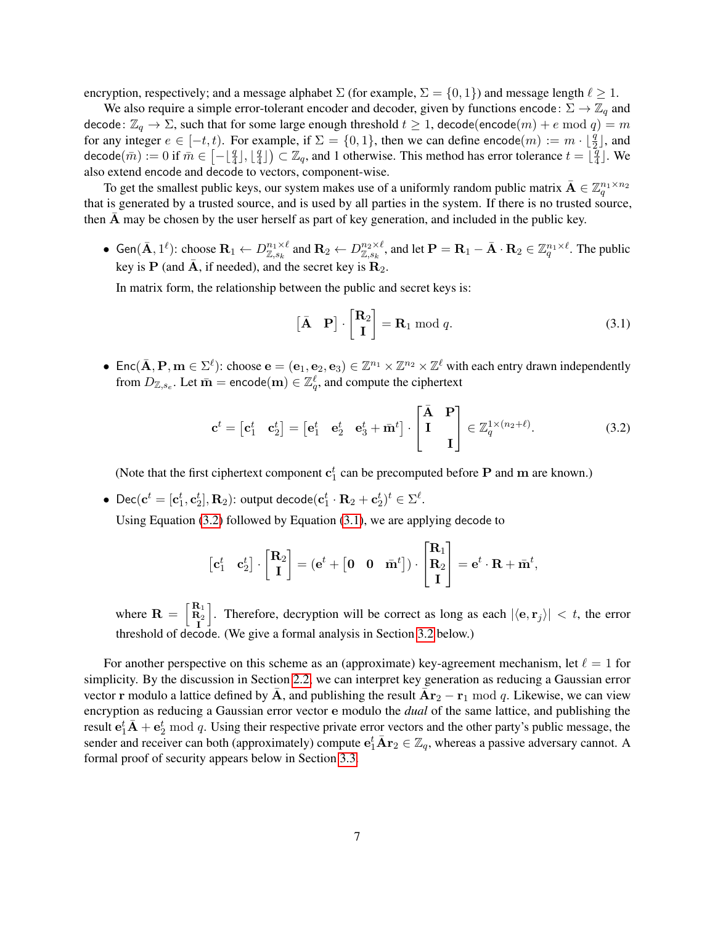encryption, respectively; and a message alphabet  $\Sigma$  (for example,  $\Sigma = \{0, 1\}$ ) and message length  $\ell \geq 1$ .

We also require a simple error-tolerant encoder and decoder, given by functions encode:  $\Sigma \to \mathbb{Z}_q$  and decode:  $\mathbb{Z}_q \to \Sigma$ , such that for some large enough threshold  $t \geq 1$ , decode(encode(m) + e mod q) = m for any integer  $e \in [-t, t]$ . For example, if  $\Sigma = \{0, 1\}$ , then we can define encode $(m) := m \cdot \lfloor \frac{q}{2} \rfloor$ , and  $\mathsf{decode}(\bar{m}) := 0 \text{ if } \bar{m} \in \left[-\lfloor \frac{q}{4} \rfloor, \lfloor \frac{q}{4} \right]$  $\left(\frac{q}{4}\right)$   $\subset \mathbb{Z}_q$ , and 1 otherwise. This method has error tolerance  $t = \begin{bmatrix} q \\ 4 \end{bmatrix}$  $\frac{q}{4}$ ]. We also extend encode and decode to vectors, component-wise.

To get the smallest public keys, our system makes use of a uniformly random public matrix  $\bar{\mathbf{A}} \in \mathbb{Z}_q^{n_1 \times n_2}$ that is generated by a trusted source, and is used by all parties in the system. If there is no trusted source, then  $\overline{A}$  may be chosen by the user herself as part of key generation, and included in the public key.

• Gen $(\bar{\mathbf{A}}, 1^{\ell})$ : choose  $\mathbf{R}_1 \leftarrow D_{\mathbb{Z}, s_k}^{n_1 \times \ell}$  and  $\mathbf{R}_2 \leftarrow D_{\mathbb{Z}, s_k}^{n_2 \times \ell}$ , and let  $\mathbf{P} = \mathbf{R}_1 - \bar{\mathbf{A}} \cdot \mathbf{R}_2 \in \mathbb{Z}_q^{n_1 \times \ell}$ . The public key is **P** (and  $\overline{A}$ , if needed), and the secret key is  $\overline{R}_2$ .

In matrix form, the relationship between the public and secret keys is:

<span id="page-6-1"></span>
$$
\begin{bmatrix} \bar{\mathbf{A}} & \mathbf{P} \end{bmatrix} \cdot \begin{bmatrix} \mathbf{R}_2 \\ \mathbf{I} \end{bmatrix} = \mathbf{R}_1 \bmod q. \tag{3.1}
$$

• Enc( $\bar{\mathbf{A}}, \mathbf{P}, \mathbf{m} \in \Sigma^{\ell}$ ): choose  $\mathbf{e} = (\mathbf{e}_1, \mathbf{e}_2, \mathbf{e}_3) \in \mathbb{Z}^{n_1} \times \mathbb{Z}^{n_2} \times \mathbb{Z}^{\ell}$  with each entry drawn independently from  $D_{\mathbb{Z},s_e}$ . Let  $\bar{\mathbf{m}} = \text{encode}(\mathbf{m}) \in \mathbb{Z}_q^{\ell}$ , and compute the ciphertext

<span id="page-6-0"></span>
$$
\mathbf{c}^t = \begin{bmatrix} \mathbf{c}_1^t & \mathbf{c}_2^t \end{bmatrix} = \begin{bmatrix} \mathbf{e}_1^t & \mathbf{e}_2^t & \mathbf{e}_3^t + \bar{\mathbf{m}}^t \end{bmatrix} \cdot \begin{bmatrix} \bar{\mathbf{A}} & \mathbf{P} \\ \mathbf{I} & \mathbf{I} \end{bmatrix} \in \mathbb{Z}_q^{1 \times (n_2 + \ell)}. \tag{3.2}
$$

(Note that the first ciphertext component  $c_1^t$  can be precomputed before **P** and **m** are known.)

 $\bullet\;\text{Dec}(\textbf{c}^t=[\textbf{c}^t_1, \textbf{c}^t_2], \textbf{R}_2)$ : output decode $(\textbf{c}^t_1\cdot \textbf{R}_2+\textbf{c}^t_2)^t\in\Sigma^\ell.$ 

Using Equation [\(3.2\)](#page-6-0) followed by Equation [\(3.1\)](#page-6-1), we are applying decode to

$$
\begin{bmatrix} \mathbf{c}_1^t & \mathbf{c}_2^t \end{bmatrix} \cdot \begin{bmatrix} \mathbf{R}_2 \\ \mathbf{I} \end{bmatrix} = (\mathbf{e}^t + \begin{bmatrix} \mathbf{0} & \mathbf{0} & \bar{\mathbf{m}}^t \end{bmatrix}) \cdot \begin{bmatrix} \mathbf{R}_1 \\ \mathbf{R}_2 \\ \mathbf{I} \end{bmatrix} = \mathbf{e}^t \cdot \mathbf{R} + \bar{\mathbf{m}}^t,
$$

where  $\mathbf{R} = \begin{bmatrix} \mathbf{R}_1 \\ \mathbf{R}_2 \\ \mathbf{I} \end{bmatrix}$ . Therefore, decryption will be correct as long as each  $|\langle \mathbf{e}, \mathbf{r}_j \rangle| < t$ , the error threshold of decode. (We give a formal analysis in Section [3.2](#page-7-0) below.)

For another perspective on this scheme as an (approximate) key-agreement mechanism, let  $\ell = 1$  for simplicity. By the discussion in Section [2.2,](#page-4-1) we can interpret key generation as reducing a Gaussian error vector **r** modulo a lattice defined by  $\bar{A}$ , and publishing the result  $\bar{A}r_2 - r_1 \bmod q$ . Likewise, we can view encryption as reducing a Gaussian error vector e modulo the *dual* of the same lattice, and publishing the result  $e_1^t \overline{A} + e_2^t \mod q$ . Using their respective private error vectors and the other party's public message, the sender and receiver can both (approximately) compute  $e_1^t \bar{A} r_2 \in \mathbb{Z}_q$ , whereas a passive adversary cannot. A formal proof of security appears below in Section [3.3.](#page-8-0)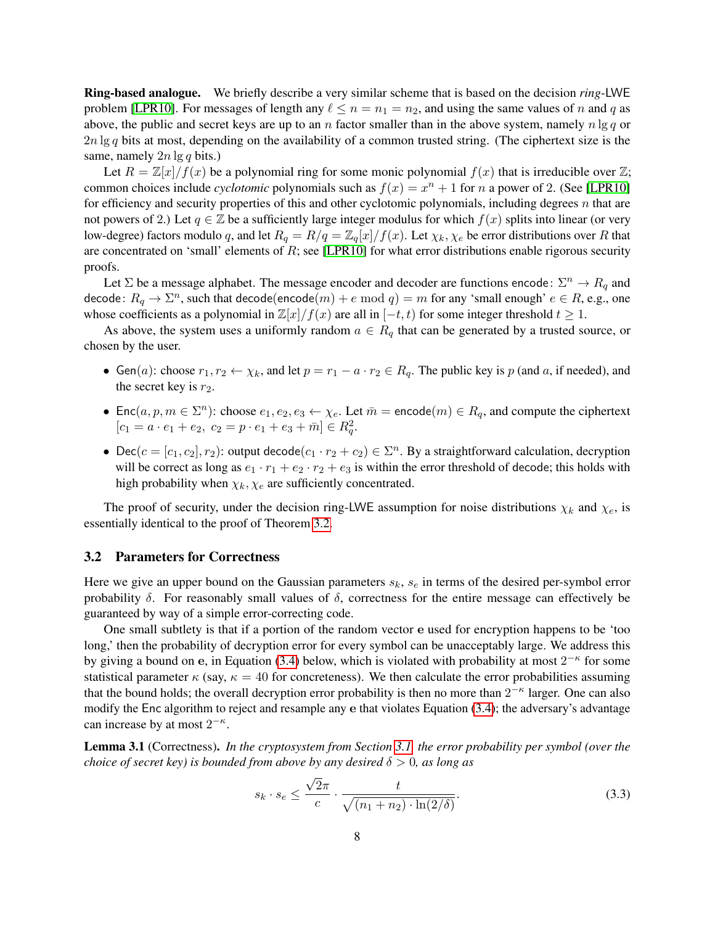<span id="page-7-2"></span>Ring-based analogue. We briefly describe a very similar scheme that is based on the decision *ring*-LWE problem [\[LPR10\]](#page-19-10). For messages of length any  $\ell \leq n = n_1 = n_2$ , and using the same values of n and q as above, the public and secret keys are up to an n factor smaller than in the above system, namely  $n \lg q$  or  $2n \lg q$  bits at most, depending on the availability of a common trusted string. (The ciphertext size is the same, namely  $2n \lg q$  bits.)

Let  $R = \mathbb{Z}[x]/f(x)$  be a polynomial ring for some monic polynomial  $f(x)$  that is irreducible over  $\mathbb{Z};$ common choices include *cyclotomic* polynomials such as  $f(x) = x^n + 1$  for *n* a power of 2. (See [\[LPR10\]](#page-19-10) for efficiency and security properties of this and other cyclotomic polynomials, including degrees  $n$  that are not powers of 2.) Let  $q \in \mathbb{Z}$  be a sufficiently large integer modulus for which  $f(x)$  splits into linear (or very low-degree) factors modulo q, and let  $R_q = R/q = \mathbb{Z}_q[x]/f(x)$ . Let  $\chi_k, \chi_k$  be error distributions over R that are concentrated on 'small' elements of  $R$ ; see [\[LPR10\]](#page-19-10) for what error distributions enable rigorous security proofs.

Let  $\Sigma$  be a message alphabet. The message encoder and decoder are functions encode:  $\Sigma^n \to R_q$  and decode:  $R_q \to \Sigma^n$ , such that decode(encode $(m) + e \mod q = m$  for any 'small enough'  $e \in R$ , e.g., one whose coefficients as a polynomial in  $\mathbb{Z}[x]/f(x)$  are all in  $[-t, t)$  for some integer threshold  $t \geq 1$ .

As above, the system uses a uniformly random  $a \in R_q$  that can be generated by a trusted source, or chosen by the user.

- Gen(a): choose  $r_1, r_2 \leftarrow \chi_k$ , and let  $p = r_1 a \cdot r_2 \in R_q$ . The public key is p (and a, if needed), and the secret key is  $r_2$ .
- Enc $(a, p, m \in \Sigma^n)$ : choose  $e_1, e_2, e_3 \leftarrow \chi_e$ . Let  $\overline{m} =$  encode $(m) \in R_q$ , and compute the ciphertext  $[c_1 = a \cdot e_1 + e_2, \ c_2 = p \cdot e_1 + e_3 + \overline{m}] \in R_q^2.$
- Dec $(c = [c_1, c_2], r_2)$ : output decode $(c_1 \cdot r_2 + c_2) \in \Sigma^n$ . By a straightforward calculation, decryption will be correct as long as  $e_1 \cdot r_1 + e_2 \cdot r_2 + e_3$  is within the error threshold of decode; this holds with high probability when  $\chi_k, \chi_e$  are sufficiently concentrated.

The proof of security, under the decision ring-LWE assumption for noise distributions  $\chi_k$  and  $\chi_e$ , is essentially identical to the proof of Theorem [3.2.](#page-8-1)

#### <span id="page-7-0"></span>3.2 Parameters for Correctness

Here we give an upper bound on the Gaussian parameters  $s_k$ ,  $s_e$  in terms of the desired per-symbol error probability  $\delta$ . For reasonably small values of  $\delta$ , correctness for the entire message can effectively be guaranteed by way of a simple error-correcting code.

One small subtlety is that if a portion of the random vector e used for encryption happens to be 'too long,' then the probability of decryption error for every symbol can be unacceptably large. We address this by giving a bound on e, in Equation [\(3.4\)](#page-8-2) below, which is violated with probability at most  $2^{-\kappa}$  for some statistical parameter  $\kappa$  (say,  $\kappa = 40$  for concreteness). We then calculate the error probabilities assuming that the bound holds; the overall decryption error probability is then no more than  $2^{-\kappa}$  larger. One can also modify the Enc algorithm to reject and resample any e that violates Equation [\(3.4\)](#page-8-2); the adversary's advantage can increase by at most  $2^{-\kappa}$ .

<span id="page-7-1"></span>Lemma 3.1 (Correctness). *In the cryptosystem from Section [3.1,](#page-5-0) the error probability per symbol (over the choice of secret key) is bounded from above by any desired*  $\delta > 0$ *, as long as* 

$$
s_k \cdot s_e \le \frac{\sqrt{2}\pi}{c} \cdot \frac{t}{\sqrt{(n_1+n_2) \cdot \ln(2/\delta)}}.
$$
\n(3.3)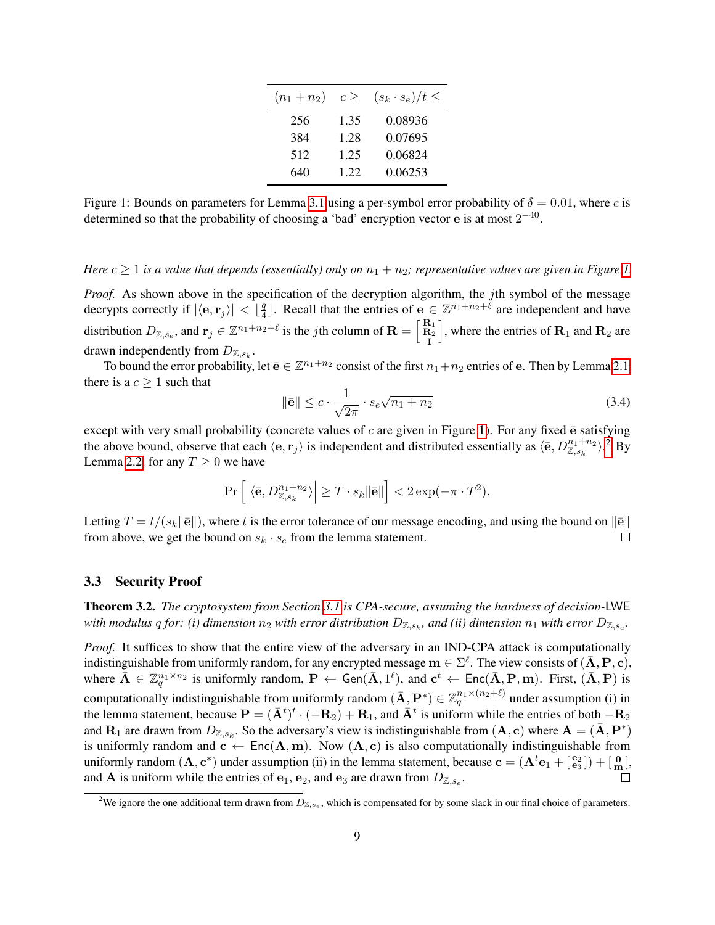| $(n_1+n_2)$ | $c \geq$ | $(s_k \cdot s_e)/t \leq$ |
|-------------|----------|--------------------------|
| 256         | 1.35     | 0.08936                  |
| 384         | 1.28     | 0.07695                  |
| 512         | 1.25     | 0.06824                  |
| 640         | 1.22     | 0.06253                  |

<span id="page-8-3"></span>Figure 1: Bounds on parameters for Lemma [3.1](#page-7-1) using a per-symbol error probability of  $\delta = 0.01$ , where c is determined so that the probability of choosing a 'bad' encryption vector e is at most  $2^{-40}$ .

*Here*  $c \geq 1$  *is a value that depends (essentially) only on*  $n_1 + n_2$ *; representative values are given in Figure [1.](#page-8-3)* 

*Proof.* As shown above in the specification of the decryption algorithm, the jth symbol of the message decrypts correctly if  $|\langle {\bf e},{\bf r}_j \rangle| < \lfloor \frac{q}{4} \rfloor$  $\frac{q}{4}$ . Recall that the entries of  $e \in \mathbb{Z}^{n_1+n_2+\ell}$  are independent and have distribution  $D_{\mathbb{Z},s_e}$ , and  $\mathbf{r}_j \in \mathbb{Z}^{n_1+n_2+\ell}$  is the jth column of  $\mathbf{R} = \begin{bmatrix} R_1 \\ R_2 \\ I \end{bmatrix}$ , where the entries of  $\mathbf{R}_1$  and  $\mathbf{R}_2$  are drawn independently from  $D_{\mathbb{Z},s_k}$ .

To bound the error probability, let  $\bar{e} \in \mathbb{Z}^{n_1+n_2}$  consist of the first  $n_1+n_2$  entries of e. Then by Lemma [2.1,](#page-3-0) there is a  $c \geq 1$  such that

<span id="page-8-2"></span>
$$
\|\bar{\mathbf{e}}\| \leq c \cdot \frac{1}{\sqrt{2\pi}} \cdot s_e \sqrt{n_1 + n_2} \tag{3.4}
$$

except with very small probability (concrete values of c are given in Figure [1\)](#page-8-3). For any fixed  $\bar{e}$  satisfying the above bound, observe that each  $\langle e, r_j \rangle$  is independent and distributed essentially as  $\langle \bar{e}, D_{\mathbb{Z},s_k}^{n_1+n_2} \rangle$  $\langle \bar{e}, D_{\mathbb{Z},s_k}^{n_1+n_2} \rangle$  $\langle \bar{e}, D_{\mathbb{Z},s_k}^{n_1+n_2} \rangle$ . By Lemma [2.2,](#page-3-1) for any  $T \geq 0$  we have

$$
\Pr\left[\left|\langle\bar{\mathbf{e}}, D_{\mathbb{Z},s_k}^{n_1+n_2}\rangle\right| \geq T \cdot s_k \|\bar{\mathbf{e}}\|\right] < 2\exp(-\pi \cdot T^2).
$$

Letting  $T = t/(s_k \|\mathbf{\bar{e}}\|)$ , where t is the error tolerance of our message encoding, and using the bound on  $\|\mathbf{\bar{e}}\|$ from above, we get the bound on  $s_k \cdot s_e$  from the lemma statement.  $\Box$ 

### <span id="page-8-0"></span>3.3 Security Proof

<span id="page-8-1"></span>Theorem 3.2. *The cryptosystem from Section [3.1](#page-5-0) is CPA-secure, assuming the hardness of decision-*LWE with modulus  $q$  for: (i) dimension  $n_2$  with error distribution  $D_{\mathbb{Z},s_k}$ , and (ii) dimension  $n_1$  with error  $D_{\mathbb{Z},s_e}$ .

*Proof.* It suffices to show that the entire view of the adversary in an IND-CPA attack is computationally indistinguishable from uniformly random, for any encrypted message  $m \in \Sigma^{\ell}$ . The view consists of  $(\bar{\mathbf{A}}, \mathbf{P}, \mathbf{c})$ , where  $\overline{A} \in \mathbb{Z}_q^{n_1 \times n_2}$  is uniformly random,  $P \leftarrow \textsf{Gen}(\overline{A}, 1^\ell)$ , and  $\mathbf{c}^t \leftarrow \textsf{Enc}(\overline{A}, P, m)$ . First,  $(\overline{A}, P)$  is computationally indistinguishable from uniformly random  $(\bar{\bf A},{\bf P}^*)\in\mathbb{Z}_q^{n_1\times(n_2+\ell)}$  under assumption (i) in the lemma statement, because  $\mathbf{P} = (\mathbf{A}^t)^t \cdot (-\mathbf{R}_2) + \mathbf{R}_1$ , and  $\mathbf{A}^t$  is uniform while the entries of both  $-\mathbf{R}_2$ and  $\mathbf{R}_1$  are drawn from  $D_{\mathbb{Z},s_k}$ . So the adversary's view is indistinguishable from  $(\mathbf{A}, \mathbf{c})$  where  $\mathbf{A} = (\bar{\mathbf{A}}, \mathbf{P}^*)$ is uniformly random and  $c \leftarrow \text{Enc}(A, m)$ . Now  $(A, c)$  is also computationally indistinguishable from uniformly random  $(A, c^*)$  under assumption (ii) in the lemma statement, because  $c = (A^t e_1 + \begin{bmatrix} e_2 \\ e_3 \end{bmatrix}) + \begin{bmatrix} 0 \\ m \end{bmatrix}$ , and **A** is uniform while the entries of  $e_1$ ,  $e_2$ , and  $e_3$  are drawn from  $D_{\mathbb{Z},s_e}$ .

<span id="page-8-4"></span><sup>&</sup>lt;sup>2</sup>We ignore the one additional term drawn from  $D_{\mathbb{Z},s_e}$ , which is compensated for by some slack in our final choice of parameters.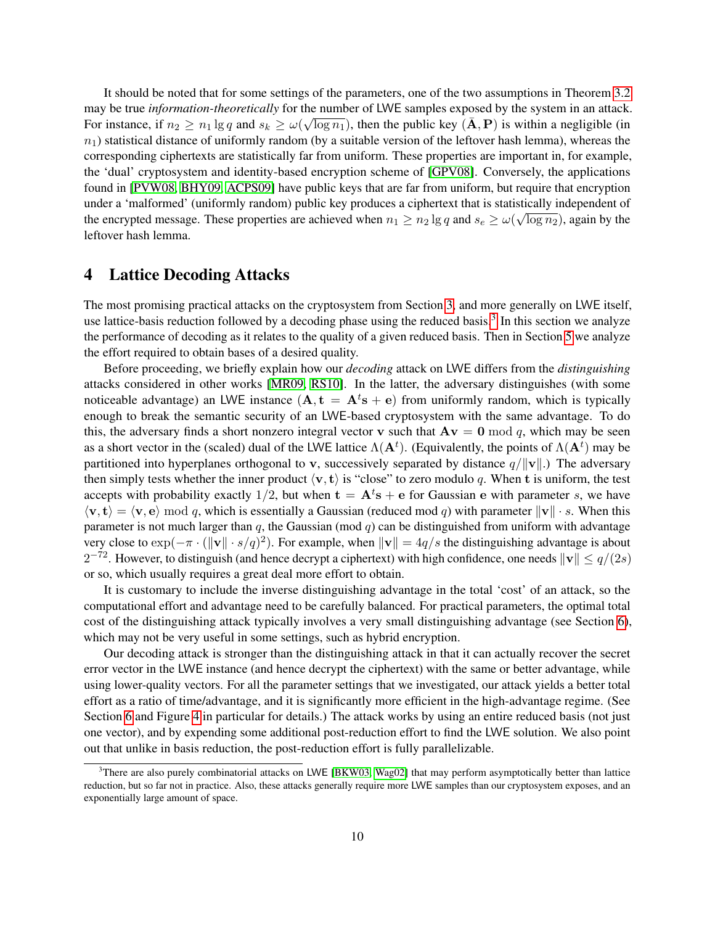<span id="page-9-2"></span>It should be noted that for some settings of the parameters, one of the two assumptions in Theorem [3.2](#page-8-1) may be true *information-theoretically* for the number of LWE samples exposed by the system in an attack. For instance, if  $n_2 \ge n_1 \lg q$  and  $s_k \ge \omega(\sqrt{\log n_1})$ , then the public key  $(\bar{\mathbf{A}}, \mathbf{P})$  is within a negligible (in  $n_1$ ) statistical distance of uniformly random (by a suitable version of the leftover hash lemma), whereas the corresponding ciphertexts are statistically far from uniform. These properties are important in, for example, the 'dual' cryptosystem and identity-based encryption scheme of [\[GPV08\]](#page-19-4). Conversely, the applications found in [\[PVW08,](#page-19-5) [BHY09,](#page-18-12) [ACPS09\]](#page-18-11) have public keys that are far from uniform, but require that encryption under a 'malformed' (uniformly random) public key produces a ciphertext that is statistically independent of the encrypted message. These properties are achieved when  $n_1 \ge n_2 \lg q$  and  $s_e \ge \omega(\sqrt{\log n_2})$ , again by the leftover hash lemma.

# <span id="page-9-1"></span>4 Lattice Decoding Attacks

The most promising practical attacks on the cryptosystem from Section [3,](#page-5-1) and more generally on LWE itself, use lattice-basis reduction followed by a decoding phase using the reduced basis.<sup>[3](#page-9-0)</sup> In this section we analyze the performance of decoding as it relates to the quality of a given reduced basis. Then in Section [5](#page-11-0) we analyze the effort required to obtain bases of a desired quality.

Before proceeding, we briefly explain how our *decoding* attack on LWE differs from the *distinguishing* attacks considered in other works [\[MR09,](#page-19-7) [RS10\]](#page-20-0). In the latter, the adversary distinguishes (with some noticeable advantage) an LWE instance  $(A, t = A<sup>t</sup>s + e)$  from uniformly random, which is typically enough to break the semantic security of an LWE-based cryptosystem with the same advantage. To do this, the adversary finds a short nonzero integral vector v such that  $Av = 0 \mod q$ , which may be seen as a short vector in the (scaled) dual of the LWE lattice  $\Lambda(\mathbf{A}^t)$ . (Equivalently, the points of  $\Lambda(\mathbf{A}^t)$  may be partitioned into hyperplanes orthogonal to v, successively separated by distance  $q/||{\bf v}||$ .) The adversary then simply tests whether the inner product  $\langle v, t \rangle$  is "close" to zero modulo q. When t is uniform, the test accepts with probability exactly 1/2, but when  $\mathbf{t} = \mathbf{A}^t\mathbf{s} + \mathbf{e}$  for Gaussian e with parameter s, we have  $\langle v, t \rangle = \langle v, e \rangle$  mod q, which is essentially a Gaussian (reduced mod q) with parameter  $||v|| \cdot s$ . When this parameter is not much larger than  $q$ , the Gaussian (mod  $q$ ) can be distinguished from uniform with advantage very close to  $\exp(-\pi \cdot (\|\mathbf{v}\| \cdot s/q)^2)$ . For example, when  $\|\mathbf{v}\| = 4q/s$  the distinguishing advantage is about  $2^{-72}$ . However, to distinguish (and hence decrypt a ciphertext) with high confidence, one needs  $\|\mathbf{v}\| \leq q/(2s)$ or so, which usually requires a great deal more effort to obtain.

It is customary to include the inverse distinguishing advantage in the total 'cost' of an attack, so the computational effort and advantage need to be carefully balanced. For practical parameters, the optimal total cost of the distinguishing attack typically involves a very small distinguishing advantage (see Section [6\)](#page-15-0), which may not be very useful in some settings, such as hybrid encryption.

Our decoding attack is stronger than the distinguishing attack in that it can actually recover the secret error vector in the LWE instance (and hence decrypt the ciphertext) with the same or better advantage, while using lower-quality vectors. For all the parameter settings that we investigated, our attack yields a better total effort as a ratio of time/advantage, and it is significantly more efficient in the high-advantage regime. (See Section [6](#page-15-0) and Figure [4](#page-16-0) in particular for details.) The attack works by using an entire reduced basis (not just one vector), and by expending some additional post-reduction effort to find the LWE solution. We also point out that unlike in basis reduction, the post-reduction effort is fully parallelizable.

<span id="page-9-0"></span><sup>&</sup>lt;sup>3</sup>There are also purely combinatorial attacks on LWE [\[BKW03,](#page-18-13) [Wag02\]](#page-20-1) that may perform asymptotically better than lattice reduction, but so far not in practice. Also, these attacks generally require more LWE samples than our cryptosystem exposes, and an exponentially large amount of space.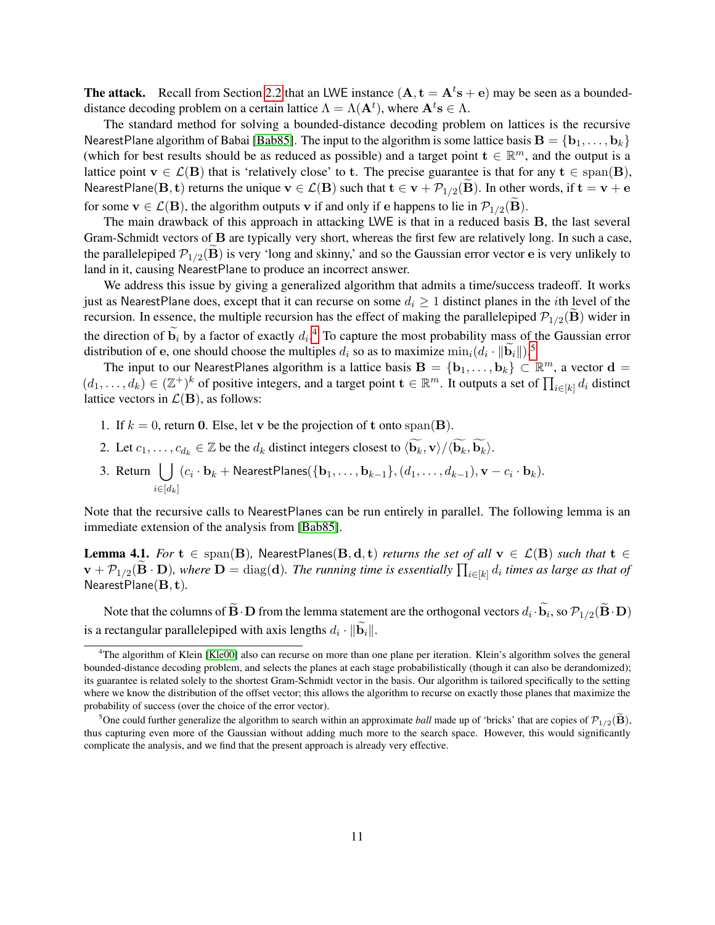<span id="page-10-2"></span>**The attack.** Recall from Section [2.2](#page-4-1) that an LWE instance  $(A, t = A^t s + e)$  may be seen as a boundeddistance decoding problem on a certain lattice  $\Lambda = \Lambda(\mathbf{A}^t)$ , where  $\mathbf{A}^t \mathbf{s} \in \Lambda$ .

The standard method for solving a bounded-distance decoding problem on lattices is the recursive NearestPlane algorithm of Babai [\[Bab85\]](#page-18-7). The input to the algorithm is some lattice basis  $\mathbf{B} = \{\mathbf{b}_1, \dots, \mathbf{b}_k\}$ (which for best results should be as reduced as possible) and a target point  $t \in \mathbb{R}^m$ , and the output is a lattice point  $\mathbf{v} \in \mathcal{L}(\mathbf{B})$  that is 'relatively close' to t. The precise guarantee is that for any  $\mathbf{t} \in \text{span}(\mathbf{B})$ , NearestPlane $(\bf B,t)$  returns the unique  ${\bf v}\in{\cal L}({\bf B})$  such that  ${\bf t}\in {\bf v}+{\cal P}_{1/2}({\bf B}).$  In other words, if  ${\bf t}={\bf v}+{\bf e}$ for some  $\mathbf{v} \in \mathcal{L}(\mathbf{B})$ , the algorithm outputs v if and only if e happens to lie in  $\mathcal{P}_{1/2}(\mathbf{B})$ .

The main drawback of this approach in attacking LWE is that in a reduced basis B, the last several Gram-Schmidt vectors of B are typically very short, whereas the first few are relatively long. In such a case, the parallelepiped  $P_{1/2}(\mathbf{B})$  is very 'long and skinny,' and so the Gaussian error vector e is very unlikely to land in it, causing NearestPlane to produce an incorrect answer.

We address this issue by giving a generalized algorithm that admits a time/success tradeoff. It works just as NearestPlane does, except that it can recurse on some  $d_i \geq 1$  distinct planes in the *i*th level of the recursion. In essence, the multiple recursion has the effect of making the parallelepiped  $P_{1/2}$ (B) wider in the direction of  $\mathbf{b}_i$  by a factor of exactly  $d_i$ .<sup>[4](#page-10-0)</sup> To capture the most probability mass of the Gaussian error distribution of e, one should choose the multiples  $d_i$  so as to maximize  $\min_i (d_i \cdot ||\vec{b}_i||)^5$  $\min_i (d_i \cdot ||\vec{b}_i||)^5$ 

The input to our NearestPlanes algorithm is a lattice basis  $\mathbf{B} = \{\mathbf{b}_1, \dots, \mathbf{b}_k\} \subset \mathbb{R}^m$ , a vector  $\mathbf{d} =$  $(d_1,\ldots,d_k) \in (\mathbb{Z}^+)^k$  of positive integers, and a target point  $\mathbf{t} \in \mathbb{R}^m$ . It outputs a set of  $\prod_{i\in[k]}d_i$  distinct lattice vectors in  $\mathcal{L}(\mathbf{B})$ , as follows:

- 1. If  $k = 0$ , return 0. Else, let v be the projection of t onto span(B).
- 2. Let  $c_1, \ldots, c_{d_k} \in \mathbb{Z}$  be the  $d_k$  distinct integers closest to  $\langle \widetilde{\mathbf{b}_k}, \mathbf{v} \rangle / \langle \widetilde{\mathbf{b}_k}, \widetilde{\mathbf{b}_k} \rangle$ .
- 3. Return  $\left(\begin{array}{c} \end{array}\right)$   $(c_i \cdot \mathbf{b}_k + \mathsf{NearestPlanes}(\{\mathbf{b}_1,\ldots,\mathbf{b}_{k-1}\},(d_1,\ldots,d_{k-1}),\mathbf{v}-c_i \cdot \mathbf{b}_k).$  $i \in [d_k]$

Note that the recursive calls to NearestPlanes can be run entirely in parallel. The following lemma is an immediate extension of the analysis from [\[Bab85\]](#page-18-7).

**Lemma 4.1.** *For*  $t \in \text{span}(B)$ , NearestPlanes $(B, d, t)$  *returns the set of all*  $v \in \mathcal{L}(B)$  *such that*  $t \in \mathcal{L}(B)$  $\mathbf{v} + \mathcal{P}_{1/2}(\mathbf{B} \cdot \mathbf{D})$ , where  $\mathbf{D} = \text{diag}(\mathbf{d})$ . The running time is essentially  $\prod_{i \in [k]} d_i$  times as large as that of NearestPlane(B, t)*.*

Note that the columns of  $\bf B\cdot D$  from the lemma statement are the orthogonal vectors  $d_i\cdot {\bf b}_i$ , so  $\mathcal{P}_{1/2}(\bf B\cdot D)$ is a rectangular parallelepiped with axis lengths  $d_i \cdot ||\mathbf{b}_i||$ .

<span id="page-10-0"></span><sup>&</sup>lt;sup>4</sup>The algorithm of Klein [\[Kle00\]](#page-19-13) also can recurse on more than one plane per iteration. Klein's algorithm solves the general bounded-distance decoding problem, and selects the planes at each stage probabilistically (though it can also be derandomized); its guarantee is related solely to the shortest Gram-Schmidt vector in the basis. Our algorithm is tailored specifically to the setting where we know the distribution of the offset vector; this allows the algorithm to recurse on exactly those planes that maximize the probability of success (over the choice of the error vector).

<span id="page-10-1"></span><sup>&</sup>lt;sup>5</sup>One could further generalize the algorithm to search within an approximate *ball* made up of 'bricks' that are copies of  $\mathcal{P}_{1/2}(\mathbf{\hat{B}})$ , thus capturing even more of the Gaussian without adding much more to the search space. However, this would significantly complicate the analysis, and we find that the present approach is already very effective.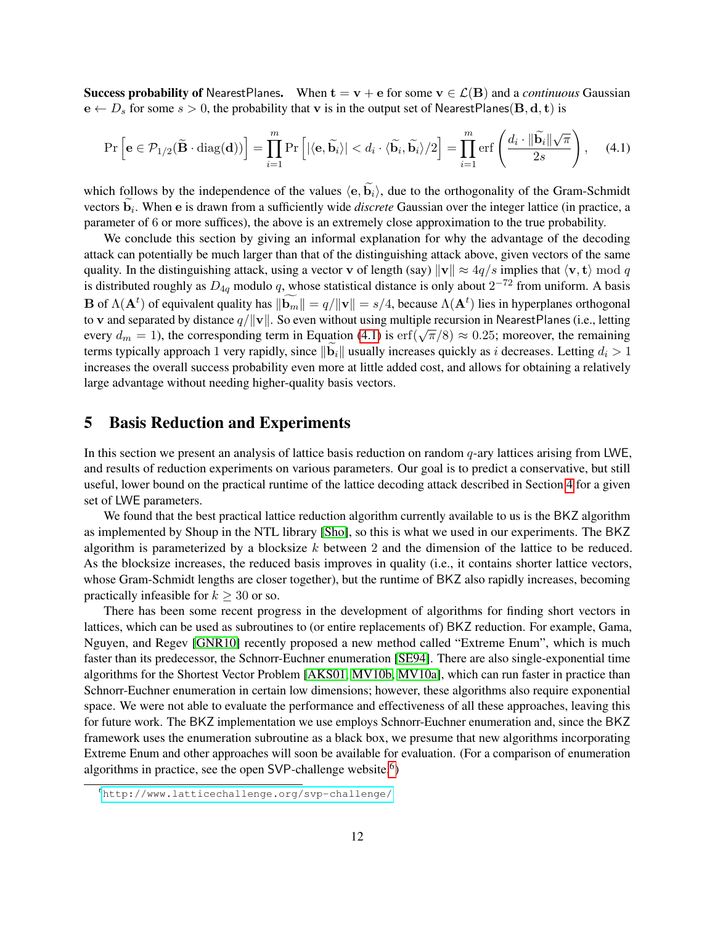<span id="page-11-3"></span>**Success probability of NearestPlanes.** When  $\mathbf{t} = \mathbf{v} + \mathbf{e}$  for some  $\mathbf{v} \in \mathcal{L}(\mathbf{B})$  and a *continuous* Gaussian  $e \leftarrow D_s$  for some  $s > 0$ , the probability that v is in the output set of NearestPlanes( $B, d, t$ ) is

<span id="page-11-1"></span>
$$
\Pr\left[\mathbf{e} \in \mathcal{P}_{1/2}(\widetilde{\mathbf{B}} \cdot \text{diag}(\mathbf{d}))\right] = \prod_{i=1}^{m} \Pr\left[|\langle \mathbf{e}, \widetilde{\mathbf{b}}_i \rangle| < d_i \cdot \langle \widetilde{\mathbf{b}}_i, \widetilde{\mathbf{b}}_i \rangle / 2\right] = \prod_{i=1}^{m} \Pr\left(\frac{d_i \cdot \|\widetilde{\mathbf{b}}_i\| \sqrt{\pi}}{2s}\right),\tag{4.1}
$$

which follows by the independence of the values  $\langle e, \tilde{b}_i \rangle$ , due to the orthogonality of the Gram-Schmidt vectors  $\mathbf{b}_i$ . When e is drawn from a sufficiently wide *discrete* Gaussian over the integer lattice (in practice, a parameter of 6 or more suffices), the above is an extremely close approximation to the true probability.

We conclude this section by giving an informal explanation for why the advantage of the decoding attack can potentially be much larger than that of the distinguishing attack above, given vectors of the same quality. In the distinguishing attack, using a vector v of length (say)  $\|\mathbf{v}\| \approx 4q/s$  implies that  $\langle \mathbf{v}, \mathbf{t} \rangle$  mod q is distributed roughly as  $D_{4q}$  modulo q, whose statistical distance is only about  $2^{-72}$  from uniform. A basis **B** of  $\Lambda(\mathbf{A}^t)$  of equivalent quality has  $\|\mathbf{b}_m\| = q/\|\mathbf{v}\| = s/4$ , because  $\Lambda(\mathbf{A}^t)$  lies in hyperplanes orthogonal to v and separated by distance  $q/\Vert v \Vert$ . So even without using multiple recursion in NearestPlanes (i.e., letting every  $d_m = 1$ ), the corresponding term in Equation [\(4.1\)](#page-11-1) is erf $(\sqrt{\pi}/8) \approx 0.25$ ; moreover, the remaining terms typically approach 1 very rapidly, since  $\|\mathbf{b}_i\|$  usually increases quickly as i decreases. Letting  $d_i > 1$ increases the overall success probability even more at little added cost, and allows for obtaining a relatively large advantage without needing higher-quality basis vectors.

# <span id="page-11-0"></span>5 Basis Reduction and Experiments

In this section we present an analysis of lattice basis reduction on random  $q$ -ary lattices arising from LWE, and results of reduction experiments on various parameters. Our goal is to predict a conservative, but still useful, lower bound on the practical runtime of the lattice decoding attack described in Section [4](#page-9-1) for a given set of LWE parameters.

We found that the best practical lattice reduction algorithm currently available to us is the BKZ algorithm as implemented by Shoup in the NTL library [\[Sho\]](#page-20-2), so this is what we used in our experiments. The BKZ algorithm is parameterized by a blocksize  $k$  between 2 and the dimension of the lattice to be reduced. As the blocksize increases, the reduced basis improves in quality (i.e., it contains shorter lattice vectors, whose Gram-Schmidt lengths are closer together), but the runtime of BKZ also rapidly increases, becoming practically infeasible for  $k \geq 30$  or so.

There has been some recent progress in the development of algorithms for finding short vectors in lattices, which can be used as subroutines to (or entire replacements of) BKZ reduction. For example, Gama, Nguyen, and Regev [\[GNR10\]](#page-18-14) recently proposed a new method called "Extreme Enum", which is much faster than its predecessor, the Schnorr-Euchner enumeration [\[SE94\]](#page-20-3). There are also single-exponential time algorithms for the Shortest Vector Problem [\[AKS01,](#page-18-15) [MV10b,](#page-19-14) [MV10a\]](#page-19-15), which can run faster in practice than Schnorr-Euchner enumeration in certain low dimensions; however, these algorithms also require exponential space. We were not able to evaluate the performance and effectiveness of all these approaches, leaving this for future work. The BKZ implementation we use employs Schnorr-Euchner enumeration and, since the BKZ framework uses the enumeration subroutine as a black box, we presume that new algorithms incorporating Extreme Enum and other approaches will soon be available for evaluation. (For a comparison of enumeration algorithms in practice, see the open SVP-challenge website.<sup>[6](#page-11-2)</sup>)

<span id="page-11-2"></span><sup>6</sup><http://www.latticechallenge.org/svp-challenge/>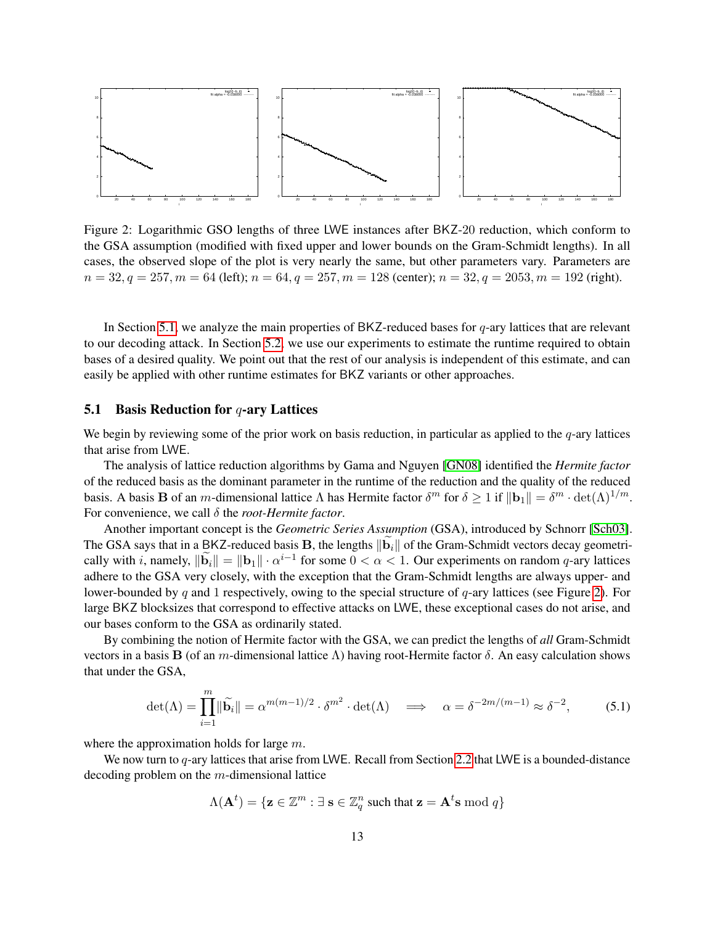<span id="page-12-2"></span>

<span id="page-12-1"></span>Figure 2: Logarithmic GSO lengths of three LWE instances after BKZ-20 reduction, which conform to the GSA assumption (modified with fixed upper and lower bounds on the Gram-Schmidt lengths). In all cases, the observed slope of the plot is very nearly the same, but other parameters vary. Parameters are  $n = 32, q = 257, m = 64$  (left);  $n = 64, q = 257, m = 128$  (center);  $n = 32, q = 2053, m = 192$  (right).

In Section [5.1,](#page-12-0) we analyze the main properties of BKZ-reduced bases for  $q$ -ary lattices that are relevant to our decoding attack. In Section [5.2,](#page-13-0) we use our experiments to estimate the runtime required to obtain bases of a desired quality. We point out that the rest of our analysis is independent of this estimate, and can easily be applied with other runtime estimates for BKZ variants or other approaches.

### <span id="page-12-0"></span>5.1 Basis Reduction for  $q$ -ary Lattices

We begin by reviewing some of the prior work on basis reduction, in particular as applied to the  $q$ -ary lattices that arise from LWE.

The analysis of lattice reduction algorithms by Gama and Nguyen [\[GN08\]](#page-18-8) identified the *Hermite factor* of the reduced basis as the dominant parameter in the runtime of the reduction and the quality of the reduced basis. A basis **B** of an *m*-dimensional lattice  $\Lambda$  has Hermite factor  $\delta^m$  for  $\delta \ge 1$  if  $\|\mathbf{b}_1\| = \delta^m \cdot \det(\Lambda)^{1/m}$ . For convenience, we call δ the *root-Hermite factor*.

Another important concept is the *Geometric Series Assumption* (GSA), introduced by Schnorr [\[Sch03\]](#page-20-4). The GSA says that in a BKZ-reduced basis B, the lengths  $\|\mathbf{b}_i\|$  of the Gram-Schmidt vectors decay geometrically with i, namely,  $\|\tilde{\mathbf{b}}_i\| = \|\mathbf{b}_1\| \cdot \alpha^{i-1}$  for some  $0 < \alpha < 1$ . Our experiments on random q-ary lattices adhere to the GSA very closely, with the exception that the Gram-Schmidt lengths are always upper- and lower-bounded by q and 1 respectively, owing to the special structure of  $q$ -ary lattices (see Figure [2\)](#page-12-1). For large BKZ blocksizes that correspond to effective attacks on LWE, these exceptional cases do not arise, and our bases conform to the GSA as ordinarily stated.

By combining the notion of Hermite factor with the GSA, we can predict the lengths of *all* Gram-Schmidt vectors in a basis **B** (of an m-dimensional lattice Λ) having root-Hermite factor δ. An easy calculation shows that under the GSA,

$$
\det(\Lambda) = \prod_{i=1}^{m} \|\widetilde{\mathbf{b}}_i\| = \alpha^{m(m-1)/2} \cdot \delta^{m^2} \cdot \det(\Lambda) \quad \Longrightarrow \quad \alpha = \delta^{-2m/(m-1)} \approx \delta^{-2}, \tag{5.1}
$$

where the approximation holds for large m.

We now turn to q-ary lattices that arise from LWE. Recall from Section [2.2](#page-4-1) that LWE is a bounded-distance decoding problem on the m-dimensional lattice

$$
\Lambda(\mathbf{A}^t) = \{ \mathbf{z} \in \mathbb{Z}^m : \exists \; \mathbf{s} \in \mathbb{Z}_q^n \text{ such that } \mathbf{z} = \mathbf{A}^t \mathbf{s} \bmod q \}
$$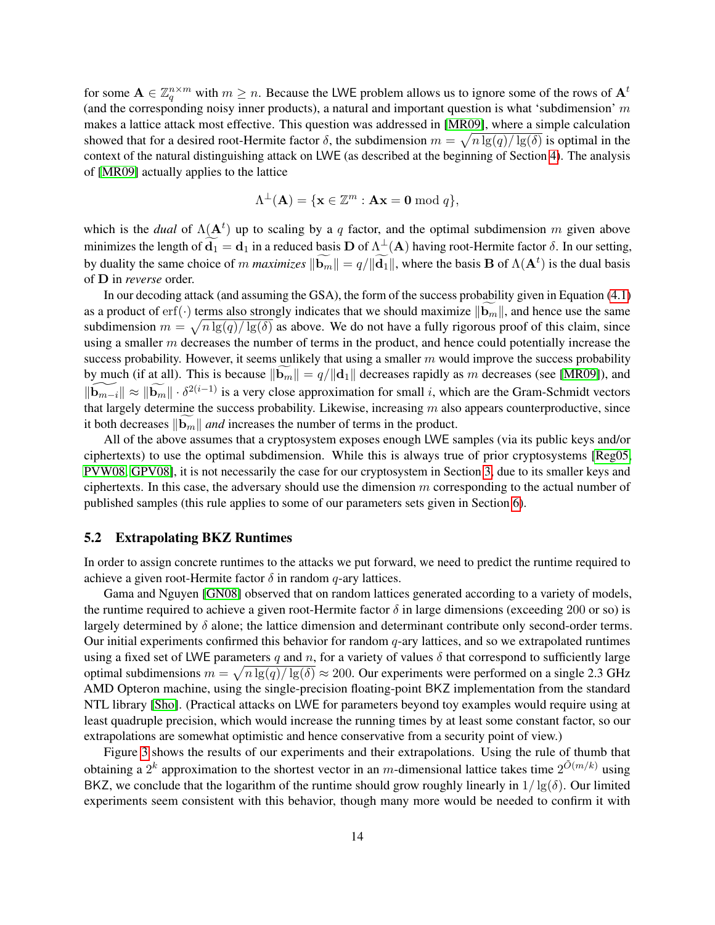<span id="page-13-1"></span>for some  $A \in \mathbb{Z}_q^{n \times m}$  with  $m \geq n$ . Because the LWE problem allows us to ignore some of the rows of  $A^t$ (and the corresponding noisy inner products), a natural and important question is what 'subdimension'  $m$ makes a lattice attack most effective. This question was addressed in [\[MR09\]](#page-19-7), where a simple calculation showed that for a desired root-Hermite factor  $\delta$ , the subdimension  $m = \sqrt{n \lg(q)/\lg(\delta)}$  is optimal in the context of the natural distinguishing attack on LWE (as described at the beginning of Section [4\)](#page-9-1). The analysis of [\[MR09\]](#page-19-7) actually applies to the lattice

$$
\Lambda^{\perp}(\mathbf{A}) = \{ \mathbf{x} \in \mathbb{Z}^m : \mathbf{A}\mathbf{x} = \mathbf{0} \bmod q \},
$$

which is the *dual* of  $\Lambda(\mathbf{A}^t)$  up to scaling by a q factor, and the optimal subdimension m given above minimizes the length of  $\mathbf{d}_1 = \mathbf{d}_1$  in a reduced basis  $\mathbf{D}$  of  $\Lambda^{\perp}(\mathbf{A})$  having root-Hermite factor  $\delta$ . In our setting, by duality the same choice of m maximizes  $\|\mathbf{b}_m\| = q/\|\mathbf{d}_1\|$ , where the basis **B** of  $\Lambda(\mathbf{A}^t)$  is the dual basis of D in *reverse* order.

In our decoding attack (and assuming the GSA), the form of the success probability given in Equation [\(4.1\)](#page-11-1) as a product of erf(·) terms also strongly indicates that we should maximize  $||\mathbf{b}_m||$ , and hence use the same subdimension  $m = \sqrt{n \lg(q)/\lg(\delta)}$  as above. We do not have a fully rigorous proof of this claim, since using a smaller  $m$  decreases the number of terms in the product, and hence could potentially increase the success probability. However, it seems unlikely that using a smaller  $m$  would improve the success probability by much (if at all). This is because  $\|\mathbf{b}_m\| = q/\|\mathbf{d}_1\|$  decreases rapidly as m decreases (see [\[MR09\]](#page-19-7)), and  $\|\widetilde{\mathbf{b}_{m-i}}\| \approx \|\widetilde{\mathbf{b}_{m}}\| \cdot \delta^{2(i-1)}$  is a very close approximation for small i, which are the Gram-Schmidt vectors that largely determine the success probability. Likewise, increasing  $m$  also appears counterproductive, since it both decreases  $\|\mathbf{b}_m\|$  *and* increases the number of terms in the product.

All of the above assumes that a cryptosystem exposes enough LWE samples (via its public keys and/or ciphertexts) to use the optimal subdimension. While this is always true of prior cryptosystems [\[Reg05,](#page-19-1) [PVW08,](#page-19-5) [GPV08\]](#page-19-4), it is not necessarily the case for our cryptosystem in Section [3,](#page-5-1) due to its smaller keys and ciphertexts. In this case, the adversary should use the dimension  $m$  corresponding to the actual number of published samples (this rule applies to some of our parameters sets given in Section [6\)](#page-15-0).

### <span id="page-13-0"></span>5.2 Extrapolating BKZ Runtimes

In order to assign concrete runtimes to the attacks we put forward, we need to predict the runtime required to achieve a given root-Hermite factor  $\delta$  in random  $q$ -ary lattices.

Gama and Nguyen [\[GN08\]](#page-18-8) observed that on random lattices generated according to a variety of models, the runtime required to achieve a given root-Hermite factor  $\delta$  in large dimensions (exceeding 200 or so) is largely determined by  $\delta$  alone; the lattice dimension and determinant contribute only second-order terms. Our initial experiments confirmed this behavior for random  $q$ -ary lattices, and so we extrapolated runtimes using a fixed set of LWE parameters q and n, for a variety of values  $\delta$  that correspond to sufficiently large optimal subdimensions  $m = \sqrt{n \lg(q)/\lg(\delta)} \approx 200$ . Our experiments were performed on a single 2.3 GHz AMD Opteron machine, using the single-precision floating-point BKZ implementation from the standard NTL library [\[Sho\]](#page-20-2). (Practical attacks on LWE for parameters beyond toy examples would require using at least quadruple precision, which would increase the running times by at least some constant factor, so our extrapolations are somewhat optimistic and hence conservative from a security point of view.)

Figure [3](#page-14-0) shows the results of our experiments and their extrapolations. Using the rule of thumb that obtaining a  $2^k$  approximation to the shortest vector in an m-dimensional lattice takes time  $2^{\tilde{O}(m/k)}$  using BKZ, we conclude that the logarithm of the runtime should grow roughly linearly in  $1/\lg(\delta)$ . Our limited experiments seem consistent with this behavior, though many more would be needed to confirm it with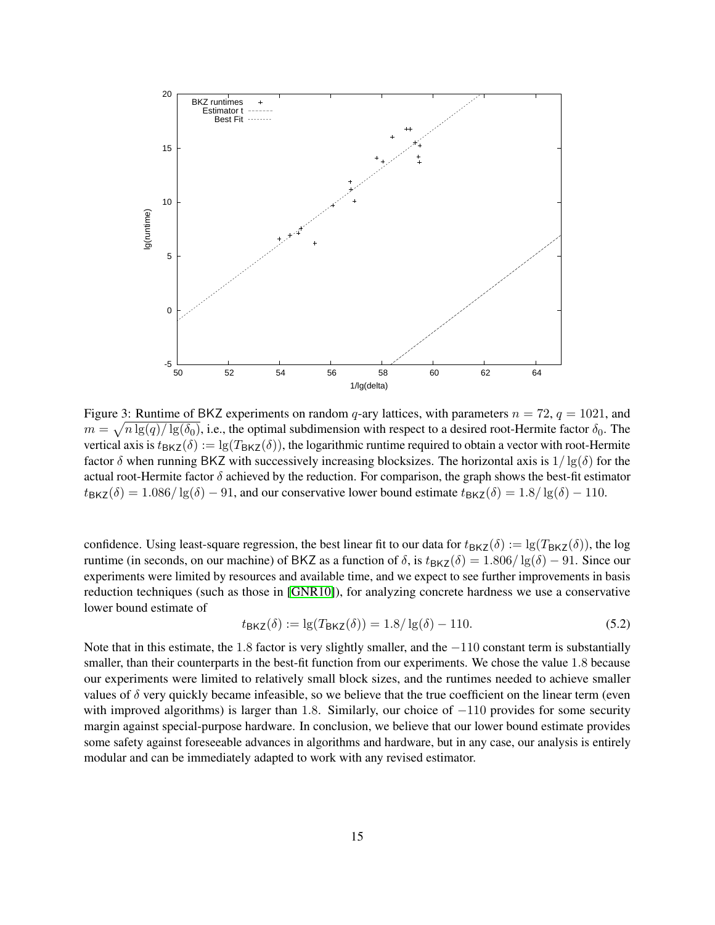<span id="page-14-2"></span>

<span id="page-14-0"></span>Figure 3: Runtime of BKZ experiments on random q-ary lattices, with parameters  $n = 72$ ,  $q = 1021$ , and  $m = \sqrt{n \lg(q)/\lg(\delta_0)}$ , i.e., the optimal subdimension with respect to a desired root-Hermite factor  $\delta_0$ . The vertical axis is  $t_{BKZ}(\delta) := \lg(T_{BKZ}(\delta))$ , the logarithmic runtime required to obtain a vector with root-Hermite factor  $\delta$  when running BKZ with successively increasing blocksizes. The horizontal axis is  $1/\lg(\delta)$  for the actual root-Hermite factor  $\delta$  achieved by the reduction. For comparison, the graph shows the best-fit estimator  $t_{\text{BKZ}}(\delta) = 1.086 / \lg(\delta) - 91$ , and our conservative lower bound estimate  $t_{\text{BKZ}}(\delta) = 1.8 / \lg(\delta) - 110$ .

confidence. Using least-square regression, the best linear fit to our data for  $t_{BKZ}(\delta) := \lg(T_{BKZ}(\delta))$ , the log runtime (in seconds, on our machine) of BKZ as a function of  $\delta$ , is  $t_{B KZ}(\delta) = 1.806 / \lg(\delta) - 91$ . Since our experiments were limited by resources and available time, and we expect to see further improvements in basis reduction techniques (such as those in [\[GNR10\]](#page-18-14)), for analyzing concrete hardness we use a conservative lower bound estimate of

<span id="page-14-1"></span>
$$
t_{\text{BKZ}}(\delta) := \lg(T_{\text{BKZ}}(\delta)) = 1.8/\lg(\delta) - 110.
$$
 (5.2)

Note that in this estimate, the 1.8 factor is very slightly smaller, and the −110 constant term is substantially smaller, than their counterparts in the best-fit function from our experiments. We chose the value 1.8 because our experiments were limited to relatively small block sizes, and the runtimes needed to achieve smaller values of  $\delta$  very quickly became infeasible, so we believe that the true coefficient on the linear term (even with improved algorithms) is larger than 1.8. Similarly, our choice of  $-110$  provides for some security margin against special-purpose hardware. In conclusion, we believe that our lower bound estimate provides some safety against foreseeable advances in algorithms and hardware, but in any case, our analysis is entirely modular and can be immediately adapted to work with any revised estimator.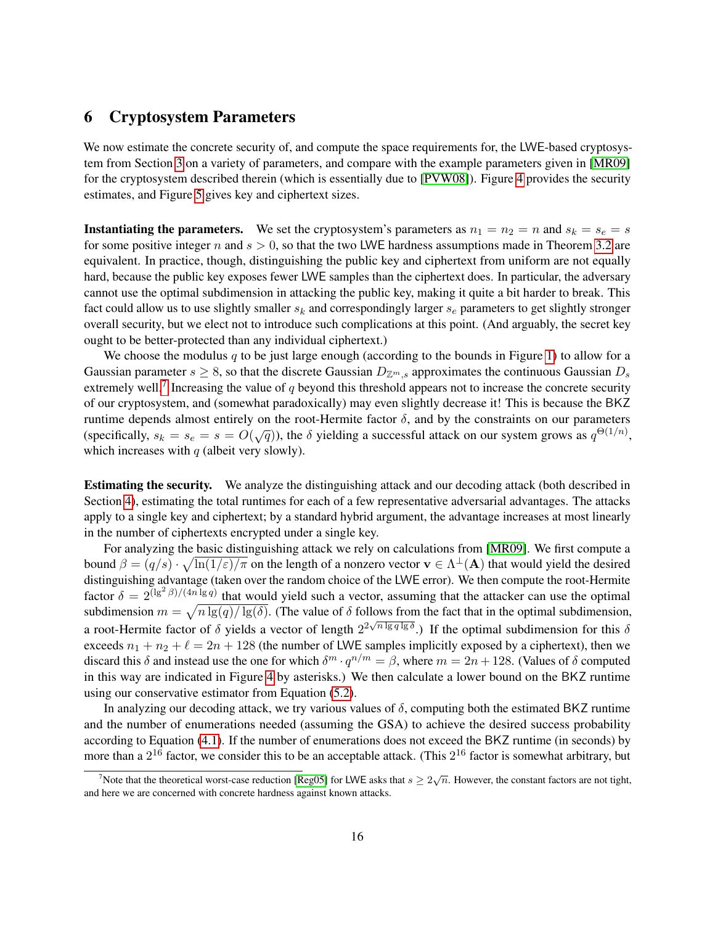# <span id="page-15-2"></span><span id="page-15-0"></span>6 Cryptosystem Parameters

We now estimate the concrete security of, and compute the space requirements for, the LWE-based cryptosystem from Section [3](#page-5-1) on a variety of parameters, and compare with the example parameters given in [\[MR09\]](#page-19-7) for the cryptosystem described therein (which is essentially due to [\[PVW08\]](#page-19-5)). Figure [4](#page-16-0) provides the security estimates, and Figure [5](#page-17-0) gives key and ciphertext sizes.

**Instantiating the parameters.** We set the cryptosystem's parameters as  $n_1 = n_2 = n$  and  $s_k = s_e = s$ for some positive integer n and  $s > 0$ , so that the two LWE hardness assumptions made in Theorem [3.2](#page-8-1) are equivalent. In practice, though, distinguishing the public key and ciphertext from uniform are not equally hard, because the public key exposes fewer LWE samples than the ciphertext does. In particular, the adversary cannot use the optimal subdimension in attacking the public key, making it quite a bit harder to break. This fact could allow us to use slightly smaller  $s_k$  and correspondingly larger  $s_e$  parameters to get slightly stronger overall security, but we elect not to introduce such complications at this point. (And arguably, the secret key ought to be better-protected than any individual ciphertext.)

We choose the modulus q to be just large enough (according to the bounds in Figure [1\)](#page-8-3) to allow for a Gaussian parameter  $s \geq 8$ , so that the discrete Gaussian  $D_{\mathbb{Z}^m,s}$  approximates the continuous Gaussian  $D_s$ extremely well.<sup>[7](#page-15-1)</sup> Increasing the value of q beyond this threshold appears not to increase the concrete security of our cryptosystem, and (somewhat paradoxically) may even slightly decrease it! This is because the BKZ runtime depends almost entirely on the root-Hermite factor  $\delta$ , and by the constraints on our parameters (specifically,  $s_k = s_e = s = O(\sqrt{q})$ ), the  $\delta$  yielding a successful attack on our system grows as  $q^{\Theta(1/n)}$ , which increases with  $q$  (albeit very slowly).

Estimating the security. We analyze the distinguishing attack and our decoding attack (both described in Section [4\)](#page-9-1), estimating the total runtimes for each of a few representative adversarial advantages. The attacks apply to a single key and ciphertext; by a standard hybrid argument, the advantage increases at most linearly in the number of ciphertexts encrypted under a single key.

For analyzing the basic distinguishing attack we rely on calculations from [\[MR09\]](#page-19-7). We first compute a bound  $\beta = (q/s) \cdot \sqrt{\ln(1/\varepsilon)/\pi}$  on the length of a nonzero vector  $\mathbf{v} \in \Lambda^{\perp}(\mathbf{A})$  that would yield the desired distinguishing advantage (taken over the random choice of the LWE error). We then compute the root-Hermite factor  $\delta = 2^{(\lg^2 \beta)/(4n \lg q)}$  that would yield such a vector, assuming that the attacker can use the optimal subdimension  $m = \sqrt{n \lg(q)/\lg(\delta)}$ . (The value of  $\delta$  follows from the fact that in the optimal subdimension, a root-Hermite factor of  $\delta$  yields a vector of length  $2^{2\sqrt{n \lg q \lg \delta}}$ .) If the optimal subdimension for this  $\delta$ exceeds  $n_1 + n_2 + \ell = 2n + 128$  (the number of LWE samples implicitly exposed by a ciphertext), then we discard this  $\delta$  and instead use the one for which  $\delta^m \cdot q^{n/m} = \beta$ , where  $m = 2n + 128$ . (Values of  $\delta$  computed in this way are indicated in Figure [4](#page-16-0) by asterisks.) We then calculate a lower bound on the BKZ runtime using our conservative estimator from Equation [\(5.2\)](#page-14-1).

In analyzing our decoding attack, we try various values of  $\delta$ , computing both the estimated BKZ runtime and the number of enumerations needed (assuming the GSA) to achieve the desired success probability according to Equation [\(4.1\)](#page-11-1). If the number of enumerations does not exceed the BKZ runtime (in seconds) by more than a  $2^{16}$  factor, we consider this to be an acceptable attack. (This  $2^{16}$  factor is somewhat arbitrary, but

<span id="page-15-1"></span><sup>&</sup>lt;sup>7</sup>Note that the theoretical worst-case reduction [\[Reg05\]](#page-19-1) for LWE asks that  $s \geq 2\sqrt{n}$ . However, the constant factors are not tight, and here we are concerned with concrete hardness against known attacks.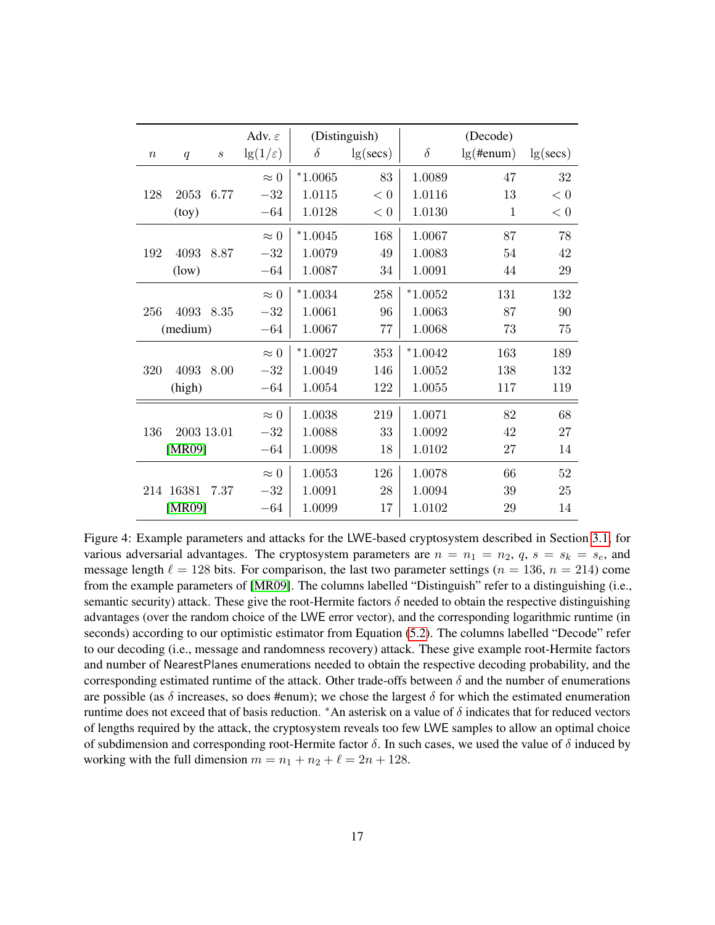<span id="page-16-1"></span>

|          |            |                  | Adv. $\varepsilon$   | (Distinguish) |                    | (Decode)  |              |                    |
|----------|------------|------------------|----------------------|---------------|--------------------|-----------|--------------|--------------------|
| $\it{n}$ | q          | $\boldsymbol{s}$ | $\lg(1/\varepsilon)$ | $\delta$      | $\lg(\text{secs})$ | $\delta$  | $lg(\#enum)$ | $\lg(\text{secs})$ |
|          |            |                  | $\approx 0$          | $*1.0065$     | 83                 | 1.0089    | 47           | 32                 |
| 128      | 2053       | 6.77             | $-32$                | 1.0115        | < 0                | 1.0116    | 13           | < 0                |
|          | (toy)      |                  | $-64$                | 1.0128        | < 0                | 1.0130    | 1            | < 0                |
|          |            |                  | $\approx 0$          | $*1.0045$     | 168                | 1.0067    | 87           | 78                 |
| 192      | 4093       | 8.87             | $-32$                | 1.0079        | 49                 | 1.0083    | 54           | 42                 |
|          | (low)      |                  | $-64$                | 1.0087        | 34                 | 1.0091    | 44           | 29                 |
|          |            |                  | $\approx 0$          | $*1.0034$     | 258                | $*1.0052$ | 131          | 132                |
| 256      | 4093       | 8.35             | $-32$                | 1.0061        | 96                 | 1.0063    | 87           | 90                 |
|          | (medium)   |                  | $-64$                | 1.0067        | 77                 | 1.0068    | 73           | 75                 |
|          |            |                  | $\approx 0$          | $*1.0027$     | 353                | $*1.0042$ | 163          | 189                |
| 320      | 4093       | 8.00             | $-32$                | 1.0049        | 146                | 1.0052    | 138          | 132                |
|          | (high)     |                  | $-64$                | 1.0054        | 122                | 1.0055    | 117          | 119                |
|          |            |                  | $\approx 0$          | 1.0038        | 219                | 1.0071    | 82           | 68                 |
| 136      | 2003 13.01 |                  | $-32$                | 1.0088        | 33                 | 1.0092    | 42           | 27                 |
|          | [MR09]     |                  | $-64$                | 1.0098        | 18                 | 1.0102    | 27           | 14                 |
|          |            |                  | $\approx 0$          | 1.0053        | 126                | 1.0078    | 66           | 52                 |
|          | 214 16381  | 7.37             | $-32$                | 1.0091        | 28                 | 1.0094    | 39           | 25                 |
|          | [MR09]     |                  | $-64$                | 1.0099        | 17                 | 1.0102    | 29           | 14                 |

<span id="page-16-0"></span>Figure 4: Example parameters and attacks for the LWE-based cryptosystem described in Section [3.1,](#page-5-0) for various adversarial advantages. The cryptosystem parameters are  $n = n_1 = n_2$ ,  $q$ ,  $s = s_k = s_e$ , and message length  $\ell = 128$  bits. For comparison, the last two parameter settings ( $n = 136$ ,  $n = 214$ ) come from the example parameters of [\[MR09\]](#page-19-7). The columns labelled "Distinguish" refer to a distinguishing (i.e., semantic security) attack. These give the root-Hermite factors  $\delta$  needed to obtain the respective distinguishing advantages (over the random choice of the LWE error vector), and the corresponding logarithmic runtime (in seconds) according to our optimistic estimator from Equation [\(5.2\)](#page-14-1). The columns labelled "Decode" refer to our decoding (i.e., message and randomness recovery) attack. These give example root-Hermite factors and number of NearestPlanes enumerations needed to obtain the respective decoding probability, and the corresponding estimated runtime of the attack. Other trade-offs between  $\delta$  and the number of enumerations are possible (as  $\delta$  increases, so does #enum); we chose the largest  $\delta$  for which the estimated enumeration runtime does not exceed that of basis reduction. \*An asterisk on a value of  $\delta$  indicates that for reduced vectors of lengths required by the attack, the cryptosystem reveals too few LWE samples to allow an optimal choice of subdimension and corresponding root-Hermite factor  $\delta$ . In such cases, we used the value of  $\delta$  induced by working with the full dimension  $m = n_1 + n_2 + \ell = 2n + 128$ .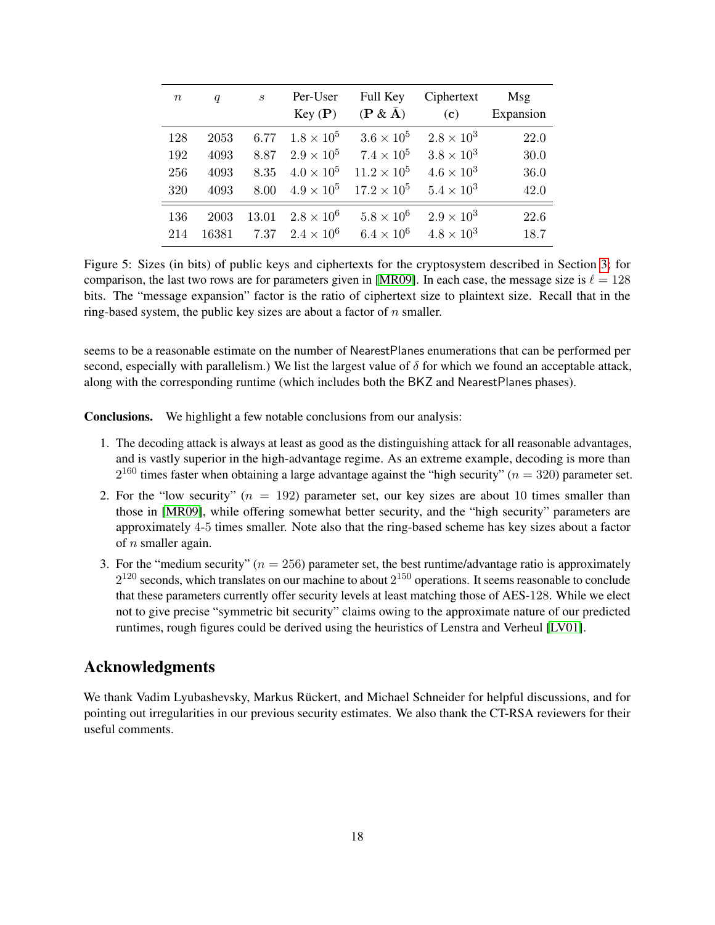<span id="page-17-1"></span>

| $\,n$ | $\boldsymbol{q}$ | $\mathcal{S}_{0}$ | Per-User<br>Key(P)  | Full Key<br>$(P & \bar{A})$ | Ciphertext<br>(c)   | Msg<br>Expansion |
|-------|------------------|-------------------|---------------------|-----------------------------|---------------------|------------------|
| 128   | 2053             | 6.77              | $1.8 \times 10^5$   | $3.6 \times 10^5$           | $2.8 \times 10^3$   | 22.0             |
| 192   | 4093             | 8.87              | $2.9 \times 10^{5}$ | $7.4 \times 10^5$           | $3.8 \times 10^3$   | 30.0             |
| 256   | 4093             | 8.35              | $4.0 \times 10^{5}$ | $11.2 \times 10^{5}$        | $4.6 \times 10^{3}$ | 36.0             |
| 320   | 4093             | 8.00              | $4.9 \times 10^{5}$ | $17.2 \times 10^{5}$        | $5.4 \times 10^3$   | 42.0             |
| 136   | 2003             | 13.01             | $2.8 \times 10^{6}$ | $5.8 \times 10^6$           | $2.9 \times 10^{3}$ | 22.6             |
| 214   | 16381            | 7.37              | $2.4 \times 10^{6}$ | $6.4 \times 10^6$           | $4.8 \times 10^3$   | 18.7             |

<span id="page-17-0"></span>Figure 5: Sizes (in bits) of public keys and ciphertexts for the cryptosystem described in Section [3;](#page-5-1) for comparison, the last two rows are for parameters given in [\[MR09\]](#page-19-7). In each case, the message size is  $\ell = 128$ bits. The "message expansion" factor is the ratio of ciphertext size to plaintext size. Recall that in the ring-based system, the public key sizes are about a factor of  $n$  smaller.

seems to be a reasonable estimate on the number of NearestPlanes enumerations that can be performed per second, especially with parallelism.) We list the largest value of  $\delta$  for which we found an acceptable attack, along with the corresponding runtime (which includes both the BKZ and NearestPlanes phases).

Conclusions. We highlight a few notable conclusions from our analysis:

- 1. The decoding attack is always at least as good as the distinguishing attack for all reasonable advantages, and is vastly superior in the high-advantage regime. As an extreme example, decoding is more than  $2^{160}$  times faster when obtaining a large advantage against the "high security" ( $n = 320$ ) parameter set.
- 2. For the "low security"  $(n = 192)$  parameter set, our key sizes are about 10 times smaller than those in [\[MR09\]](#page-19-7), while offering somewhat better security, and the "high security" parameters are approximately 4-5 times smaller. Note also that the ring-based scheme has key sizes about a factor of n smaller again.
- 3. For the "medium security" ( $n = 256$ ) parameter set, the best runtime/advantage ratio is approximately  $2^{120}$  seconds, which translates on our machine to about  $2^{150}$  operations. It seems reasonable to conclude that these parameters currently offer security levels at least matching those of AES-128. While we elect not to give precise "symmetric bit security" claims owing to the approximate nature of our predicted runtimes, rough figures could be derived using the heuristics of Lenstra and Verheul [\[LV01\]](#page-19-16).

# Acknowledgments

We thank Vadim Lyubashevsky, Markus Rückert, and Michael Schneider for helpful discussions, and for pointing out irregularities in our previous security estimates. We also thank the CT-RSA reviewers for their useful comments.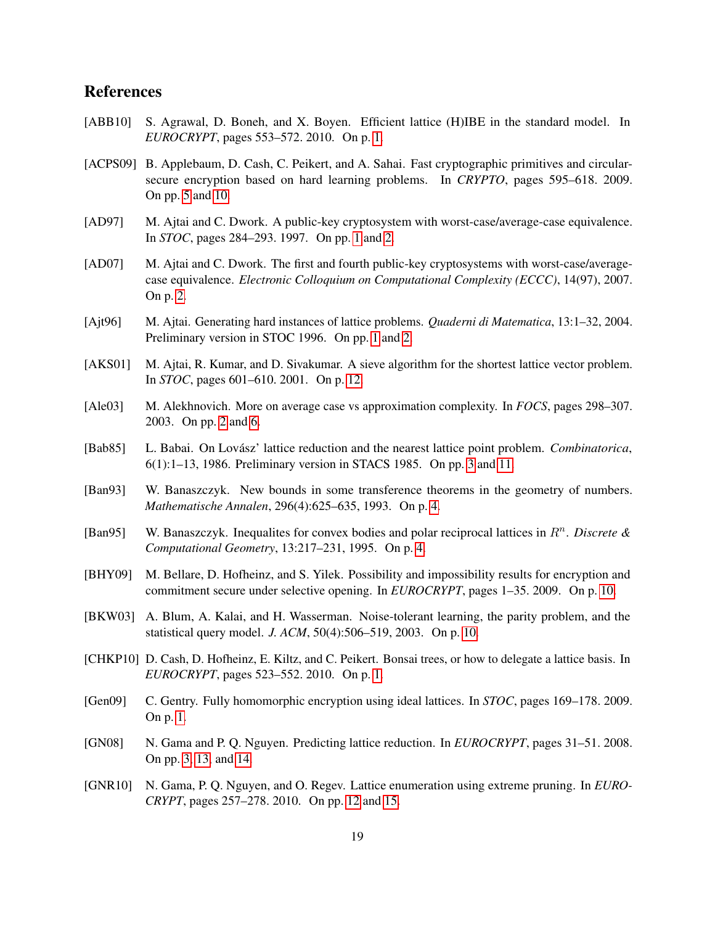# References

- <span id="page-18-2"></span>[ABB10] S. Agrawal, D. Boneh, and X. Boyen. Efficient lattice (H)IBE in the standard model. In *EUROCRYPT*, pages 553–572. 2010. On p. [1.](#page-0-0)
- <span id="page-18-11"></span>[ACPS09] B. Applebaum, D. Cash, C. Peikert, and A. Sahai. Fast cryptographic primitives and circularsecure encryption based on hard learning problems. In *CRYPTO*, pages 595–618. 2009. On pp. [5](#page-4-2) and [10.](#page-9-2)
- <span id="page-18-0"></span>[AD97] M. Ajtai and C. Dwork. A public-key cryptosystem with worst-case/average-case equivalence. In *STOC*, pages 284–293. 1997. On pp. [1](#page-0-0) and [2.](#page-1-0)
- <span id="page-18-6"></span>[AD07] M. Ajtai and C. Dwork. The first and fourth public-key cryptosystems with worst-case/averagecase equivalence. *Electronic Colloquium on Computational Complexity (ECCC)*, 14(97), 2007. On p. [2.](#page-1-0)
- <span id="page-18-4"></span>[Ajt96] M. Ajtai. Generating hard instances of lattice problems. *Quaderni di Matematica*, 13:1–32, 2004. Preliminary version in STOC 1996. On pp. [1](#page-0-0) and [2.](#page-1-0)
- <span id="page-18-15"></span>[AKS01] M. Ajtai, R. Kumar, and D. Sivakumar. A sieve algorithm for the shortest lattice vector problem. In *STOC*, pages 601–610. 2001. On p. [12.](#page-11-3)
- <span id="page-18-5"></span>[Ale03] M. Alekhnovich. More on average case vs approximation complexity. In *FOCS*, pages 298–307. 2003. On pp. [2](#page-1-0) and [6.](#page-5-2)
- <span id="page-18-7"></span>[Bab85] L. Babai. On Lovász' lattice reduction and the nearest lattice point problem. *Combinatorica*, 6(1):1–13, 1986. Preliminary version in STACS 1985. On pp. [3](#page-2-1) and [11.](#page-10-2)
- <span id="page-18-9"></span>[Ban93] W. Banaszczyk. New bounds in some transference theorems in the geometry of numbers. *Mathematische Annalen*, 296(4):625–635, 1993. On p. [4.](#page-3-2)
- <span id="page-18-10"></span>[Ban95] W. Banaszczyk. Inequalites for convex bodies and polar reciprocal lattices in  $R<sup>n</sup>$ . Discrete & *Computational Geometry*, 13:217–231, 1995. On p. [4.](#page-3-2)
- <span id="page-18-12"></span>[BHY09] M. Bellare, D. Hofheinz, and S. Yilek. Possibility and impossibility results for encryption and commitment secure under selective opening. In *EUROCRYPT*, pages 1–35. 2009. On p. [10.](#page-9-2)
- <span id="page-18-13"></span>[BKW03] A. Blum, A. Kalai, and H. Wasserman. Noise-tolerant learning, the parity problem, and the statistical query model. *J. ACM*, 50(4):506–519, 2003. On p. [10.](#page-9-2)
- <span id="page-18-1"></span>[CHKP10] D. Cash, D. Hofheinz, E. Kiltz, and C. Peikert. Bonsai trees, or how to delegate a lattice basis. In *EUROCRYPT*, pages 523–552. 2010. On p. [1.](#page-0-0)
- <span id="page-18-3"></span>[Gen09] C. Gentry. Fully homomorphic encryption using ideal lattices. In *STOC*, pages 169–178. 2009. On p. [1.](#page-0-0)
- <span id="page-18-8"></span>[GN08] N. Gama and P. Q. Nguyen. Predicting lattice reduction. In *EUROCRYPT*, pages 31–51. 2008. On pp. [3,](#page-2-1) [13,](#page-12-2) and [14.](#page-13-1)
- <span id="page-18-14"></span>[GNR10] N. Gama, P. Q. Nguyen, and O. Regev. Lattice enumeration using extreme pruning. In *EURO-CRYPT*, pages 257–278. 2010. On pp. [12](#page-11-3) and [15.](#page-14-2)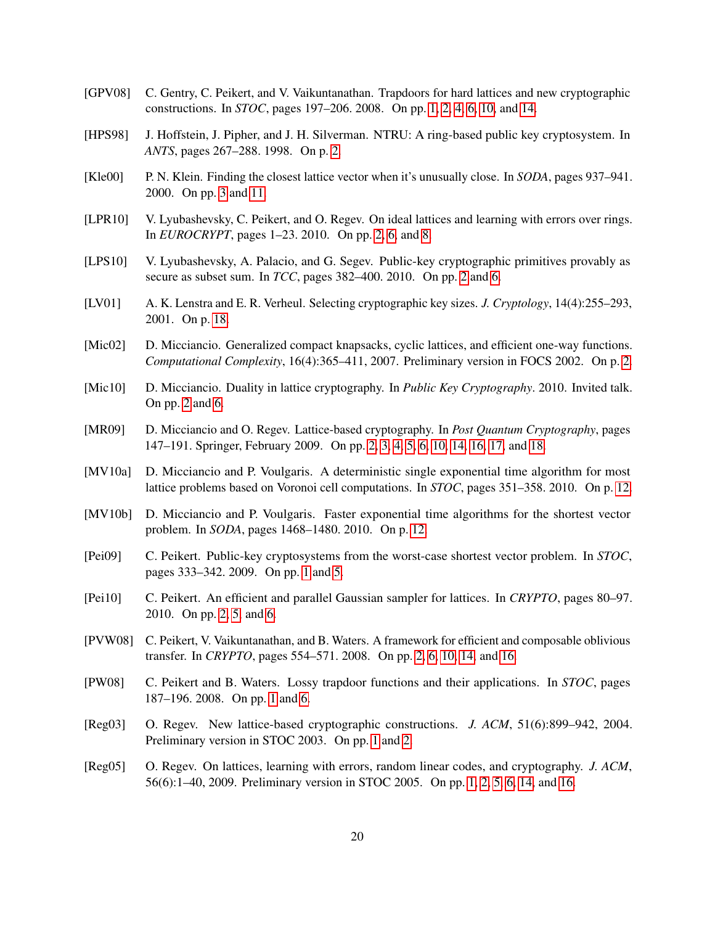- <span id="page-19-4"></span>[GPV08] C. Gentry, C. Peikert, and V. Vaikuntanathan. Trapdoors for hard lattices and new cryptographic constructions. In *STOC*, pages 197–206. 2008. On pp. [1,](#page-0-0) [2,](#page-1-0) [4,](#page-3-2) [6,](#page-5-2) [10,](#page-9-2) and [14.](#page-13-1)
- <span id="page-19-11"></span>[HPS98] J. Hoffstein, J. Pipher, and J. H. Silverman. NTRU: A ring-based public key cryptosystem. In *ANTS*, pages 267–288. 1998. On p. [2.](#page-1-0)
- <span id="page-19-13"></span>[Kle00] P. N. Klein. Finding the closest lattice vector when it's unusually close. In *SODA*, pages 937–941. 2000. On pp. [3](#page-2-1) and [11.](#page-10-2)
- <span id="page-19-10"></span>[LPR10] V. Lyubashevsky, C. Peikert, and O. Regev. On ideal lattices and learning with errors over rings. In *EUROCRYPT*, pages 1–23. 2010. On pp. [2,](#page-1-0) [6,](#page-5-2) and [8.](#page-7-2)
- <span id="page-19-8"></span>[LPS10] V. Lyubashevsky, A. Palacio, and G. Segev. Public-key cryptographic primitives provably as secure as subset sum. In *TCC*, pages 382–400. 2010. On pp. [2](#page-1-0) and [6.](#page-5-2)
- <span id="page-19-16"></span>[LV01] A. K. Lenstra and E. R. Verheul. Selecting cryptographic key sizes. *J. Cryptology*, 14(4):255–293, 2001. On p. [18.](#page-17-1)
- <span id="page-19-12"></span>[Mic02] D. Micciancio. Generalized compact knapsacks, cyclic lattices, and efficient one-way functions. *Computational Complexity*, 16(4):365–411, 2007. Preliminary version in FOCS 2002. On p. [2.](#page-1-0)
- <span id="page-19-6"></span>[Mic10] D. Micciancio. Duality in lattice cryptography. In *Public Key Cryptography*. 2010. Invited talk. On pp. [2](#page-1-0) and [6.](#page-5-2)
- <span id="page-19-7"></span>[MR09] D. Micciancio and O. Regev. Lattice-based cryptography. In *Post Quantum Cryptography*, pages 147–191. Springer, February 2009. On pp. [2,](#page-1-0) [3,](#page-2-1) [4,](#page-3-2) [5,](#page-4-2) [6,](#page-5-2) [10,](#page-9-2) [14,](#page-13-1) [16,](#page-15-2) [17,](#page-16-1) and [18.](#page-17-1)
- <span id="page-19-15"></span>[MV10a] D. Micciancio and P. Voulgaris. A deterministic single exponential time algorithm for most lattice problems based on Voronoi cell computations. In *STOC*, pages 351–358. 2010. On p. [12.](#page-11-3)
- <span id="page-19-14"></span>[MV10b] D. Micciancio and P. Voulgaris. Faster exponential time algorithms for the shortest vector problem. In *SODA*, pages 1468–1480. 2010. On p. [12.](#page-11-3)
- <span id="page-19-3"></span>[Pei09] C. Peikert. Public-key cryptosystems from the worst-case shortest vector problem. In *STOC*, pages 333–342. 2009. On pp. [1](#page-0-0) and [5.](#page-4-2)
- <span id="page-19-9"></span>[Pei10] C. Peikert. An efficient and parallel Gaussian sampler for lattices. In *CRYPTO*, pages 80–97. 2010. On pp. [2,](#page-1-0) [5,](#page-4-2) and [6.](#page-5-2)
- <span id="page-19-5"></span>[PVW08] C. Peikert, V. Vaikuntanathan, and B. Waters. A framework for efficient and composable oblivious transfer. In *CRYPTO*, pages 554–571. 2008. On pp. [2,](#page-1-0) [6,](#page-5-2) [10,](#page-9-2) [14,](#page-13-1) and [16.](#page-15-2)
- <span id="page-19-2"></span>[PW08] C. Peikert and B. Waters. Lossy trapdoor functions and their applications. In *STOC*, pages 187–196. 2008. On pp. [1](#page-0-0) and [6.](#page-5-2)
- <span id="page-19-0"></span>[Reg03] O. Regev. New lattice-based cryptographic constructions. *J. ACM*, 51(6):899–942, 2004. Preliminary version in STOC 2003. On pp. [1](#page-0-0) and [2.](#page-1-0)
- <span id="page-19-1"></span>[Reg05] O. Regev. On lattices, learning with errors, random linear codes, and cryptography. *J. ACM*, 56(6):1–40, 2009. Preliminary version in STOC 2005. On pp. [1,](#page-0-0) [2,](#page-1-0) [5,](#page-4-2) [6,](#page-5-2) [14,](#page-13-1) and [16.](#page-15-2)